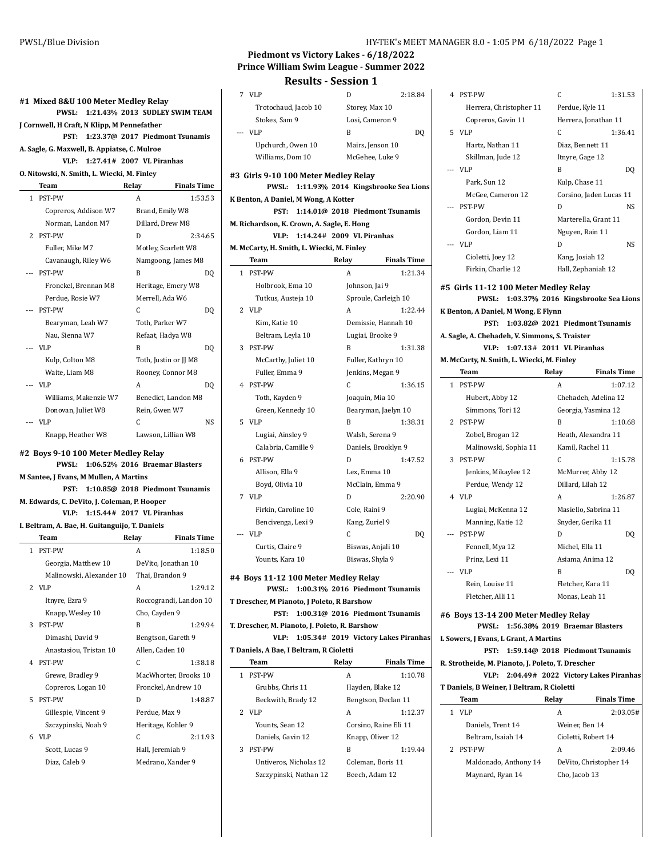|       | J Cornwell, H Craft, N Klipp, M Pennefather                       |                                                      |                    |
|-------|-------------------------------------------------------------------|------------------------------------------------------|--------------------|
|       | PST:                                                              | 1:23.37@ 2017 Piedmont Tsunamis                      |                    |
|       | A. Sagle, G. Maxwell, B. Appiatse, C. Mulroe                      |                                                      |                    |
|       | VLP:                                                              | 1:27.41# 2007 VL Piranhas                            |                    |
|       | O. Nitowski, N. Smith, L. Wiecki, M. Finley                       |                                                      |                    |
|       | Team                                                              | Relay                                                | <b>Finals Time</b> |
|       | 1 PST-PW                                                          | A                                                    | 1:53.53            |
|       | Copreros, Addison W7                                              | Brand, Emily W8                                      |                    |
|       | Norman, Landon M7                                                 | Dillard, Drew M8                                     |                    |
| 2     | PST-PW                                                            | D                                                    | 2:34.65            |
|       | Fuller, Mike M7                                                   | Motley, Scarlett W8                                  |                    |
|       | Cavanaugh, Riley W6                                               | Namgoong, James M8                                   |                    |
| $---$ | PST-PW                                                            | B                                                    | DQ                 |
|       | Fronckel, Brennan M8                                              | Heritage, Emery W8                                   |                    |
|       | Perdue, Rosie W7                                                  | Merrell, Ada W6                                      |                    |
|       | --- PST-PW                                                        | C                                                    | DQ                 |
|       | Bearyman, Leah W7                                                 | Toth, Parker W7                                      |                    |
|       | Nau, Sienna W7                                                    | Refaat, Hadya W8                                     |                    |
|       | --- VLP                                                           | B                                                    | DQ                 |
|       | Kulp, Colton M8                                                   | Toth, Justin or JJ M8                                |                    |
|       | Waite. Liam M8                                                    | Rooney, Connor M8                                    |                    |
|       | --- VLP                                                           | А                                                    | DQ                 |
|       | Williams, Makenzie W7                                             | Benedict, Landon M8                                  |                    |
|       | Donovan, Juliet W8                                                |                                                      |                    |
|       |                                                                   | Rein, Gwen W7                                        |                    |
|       | --- VLP                                                           | C                                                    | <b>NS</b>          |
|       | Knapp, Heather W8<br>#2 Boys 9-10 100 Meter Medlev Relav<br>PWSL: | Lawson, Lillian W8<br>1:06.52% 2016 Braemar Blasters |                    |
|       | <b>M Santee, J Evans, M Mullen, A Martins</b><br>PST:             | 1:10.85@ 2018 Piedmont Tsunamis                      |                    |
|       | M. Edwards, C. DeVito, J. Coleman, P. Hooper                      |                                                      |                    |
|       | VLP:                                                              | 1:15.44# 2017 VL Piranhas                            |                    |
|       | I. Beltram, A. Bae, H. Guitanguijo, T. Daniels                    |                                                      |                    |
|       | Team                                                              | Relay                                                | <b>Finals Time</b> |
|       | 1 PST-PW                                                          | A                                                    | 1:18.50            |
|       | Georgia, Matthew 10                                               | DeVito, Jonathan 10                                  |                    |
|       | Malinowski, Alexander 10                                          | Thai, Brandon 9                                      |                    |
| 2     | <b>VLP</b>                                                        | A                                                    | 1:29.12            |
|       | Itnyre, Ezra 9                                                    | Roccograndi, Landon 10                               |                    |
|       | Knapp, Wesley 10                                                  | Cho, Cayden 9                                        |                    |
| 3     | PST-PW                                                            | B                                                    | 1:29.94            |
|       | Dimashi, David 9                                                  | Bengtson, Gareth 9                                   |                    |
|       | Anastasiou, Tristan 10                                            | Allen, Caden 10                                      |                    |
| 4     | PST-PW                                                            | C                                                    | 1:38.18            |
|       | Grewe, Bradley 9                                                  | MacWhorter, Brooks 10                                |                    |
|       | Copreros, Logan 10                                                | Fronckel, Andrew 10                                  |                    |
| 5     | PST-PW                                                            | D                                                    | 1:48.87            |
|       | Gillespie, Vincent 9                                              | Perdue, Max 9                                        |                    |
|       | Szczypinski, Noah 9                                               | Heritage, Kohler 9                                   |                    |
| 6     | <b>VLP</b><br>Scott, Lucas 9                                      | C<br>Hall, Jeremiah 9                                | 2:11.93            |

# **Piedmont vs Victory Lakes - 6/18/2022 Prince William Swim League - Summer 2022**

# **Results - Session 1**

| 7              | VLP                                            | D                                    | 2:18.84            | 4       |
|----------------|------------------------------------------------|--------------------------------------|--------------------|---------|
|                | Trotochaud, Jacob 10                           | Storey, Max 10                       |                    |         |
|                | Stokes, Sam 9                                  | Losi, Cameron 9                      |                    |         |
| $\overline{a}$ | VLP                                            | B                                    | DQ                 | 5       |
|                | Upchurch, Owen 10                              | Mairs, Jenson 10                     |                    |         |
|                | Williams, Dom 10                               | McGehee, Luke 9                      |                    |         |
|                |                                                |                                      |                    |         |
|                | #3 Girls 9-10 100 Meter Medley Relay           |                                      |                    |         |
|                | <b>PWSL:</b>                                   | 1:11.93% 2014 Kingsbrooke Sea Lions  |                    |         |
|                | K Benton, A Daniel, M Wong, A Kotter           |                                      |                    |         |
|                | PST:                                           | 1:14.01@ 2018 Piedmont Tsunamis      |                    |         |
|                | M. Richardson, K. Crown, A. Sagle, E. Hong     |                                      |                    |         |
|                | VLP:                                           | 1:14.24# 2009 VL Piranhas            |                    |         |
|                | M. McCarty, H. Smith, L. Wiecki, M. Finley     |                                      |                    |         |
|                | Team                                           | Relay                                | <b>Finals Time</b> |         |
|                | 1 PST-PW                                       | A                                    | 1:21.34            |         |
|                | Holbrook, Ema 10                               | Johnson, Jai 9                       |                    | #5 G    |
|                | Tutkus, Austeja 10                             | Sproule, Carleigh 10                 |                    |         |
|                | 2 VLP                                          | A                                    | 1:22.44            | K Ben   |
|                | Kim, Katie 10                                  | Demissie, Hannah 10                  |                    |         |
|                | Beltram, Leyla 10                              | Lugiai, Brooke 9                     |                    | A. Sag  |
|                | 3 PST-PW                                       | B                                    | 1:31.38            |         |
|                | McCarthy, Juliet 10                            | Fuller, Kathryn 10                   |                    | M. Mc   |
|                | Fuller, Emma 9                                 | Jenkins, Megan 9                     |                    |         |
|                | 4 PST-PW                                       | C                                    | 1:36.15            | 1       |
|                | Toth, Kayden 9                                 | Joaquin, Mia 10                      |                    |         |
|                | Green, Kennedy 10                              | Bearyman, Jaelyn 10                  |                    |         |
|                | 5 VLP                                          | B                                    | 1:38.31            | 2       |
|                | Lugiai, Ainsley 9                              | Walsh, Serena 9                      |                    |         |
|                | Calabria, Camille 9                            | Daniels, Brooklyn 9                  |                    |         |
| 6              | PST-PW                                         | D                                    | 1:47.52            | 3       |
|                | Allison, Ella 9                                | Lex, Emma 10                         |                    |         |
|                | Boyd, Olivia 10                                | McClain, Emma 9                      |                    |         |
|                | 7 VLP                                          | D                                    | 2:20.90            | 4       |
|                | Firkin, Caroline 10                            | Cole, Raini 9                        |                    |         |
|                | Bencivenga, Lexi 9                             | Kang, Zuriel 9                       |                    |         |
| ---            | <b>VLP</b>                                     | C                                    | DQ                 |         |
|                |                                                |                                      |                    |         |
|                | Curtis, Claire 9                               | Biswas, Anjali 10                    |                    |         |
|                | Younts, Kara 10                                | Biswas, Shyla 9                      |                    |         |
|                | #4 Boys 11-12 100 Meter Medley Relay           |                                      |                    |         |
|                | PWSL: 1:00.31% 2016 Piedmont Tsunamis          |                                      |                    |         |
|                | T Drescher, M Pianoto, J Poleto, R Barshow     |                                      |                    |         |
|                | PST:                                           | 1:00.31@ 2016 Piedmont Tsunamis      |                    | #6 B    |
|                | T. Drescher, M. Pianoto, J. Poleto, R. Barshow |                                      |                    |         |
|                | VLP:                                           | 1:05.34# 2019 Victory Lakes Piranhas |                    | L Sow   |
|                | T Daniels, A Bae, I Beltram, R Cioletti        |                                      |                    |         |
|                | Team                                           | Relay                                | <b>Finals Time</b> | R. Stro |
|                | 1 PST-PW                                       | A                                    | 1:10.78            |         |
|                | Grubbs, Chris 11                               | Hayden, Blake 12                     |                    | T Dan   |
|                | Beckwith, Brady 12                             | Bengtson, Declan 11                  |                    |         |
|                | 2 VLP                                          | Α                                    | 1:12.37            | 1       |
|                | Younts, Sean 12                                | Corsino, Raine Eli 11                |                    |         |
|                | Daniels, Gavin 12                              | Knapp, Oliver 12                     |                    |         |
| 3              | PST-PW                                         | B                                    | 1:19.44            | 2       |
|                | Untiveros, Nicholas 12                         | Coleman, Boris 11                    |                    |         |
|                |                                                |                                      |                    |         |

Szczypinski, Nathan 12 Beech, Adam 12

|   | 4 PST-PW                                                                                                              | C                         | 1:31.53                                                                |
|---|-----------------------------------------------------------------------------------------------------------------------|---------------------------|------------------------------------------------------------------------|
|   | Herrera, Christopher 11                                                                                               |                           | Perdue, Kyle 11                                                        |
|   | Copreros, Gavin 11                                                                                                    |                           | Herrera, Jonathan 11                                                   |
|   | 5 VLP                                                                                                                 | C                         | 1:36.41                                                                |
|   | Hartz, Nathan 11                                                                                                      |                           | Diaz, Bennett 11                                                       |
|   | Skillman, Jude 12                                                                                                     |                           | Itnyre, Gage 12                                                        |
|   | --- VLP                                                                                                               | B                         | DQ                                                                     |
|   | Park, Sun 12                                                                                                          | Kulp, Chase 11            |                                                                        |
|   | McGee, Cameron 12                                                                                                     |                           | Corsino, Jaden Lucas 11                                                |
|   | --- PST-PW                                                                                                            | D                         | NS                                                                     |
|   | Gordon, Devin 11                                                                                                      |                           | Marterella, Grant 11                                                   |
|   | Gordon, Liam 11                                                                                                       |                           | Nguyen, Rain 11                                                        |
|   | --- VLP                                                                                                               | D                         | NS                                                                     |
|   | Cioletti, Joey 12                                                                                                     |                           | Kang, Josiah 12                                                        |
|   | Firkin, Charlie 12                                                                                                    |                           | Hall, Zephaniah 12                                                     |
|   | <b>PWSL:</b><br>K Benton, A Daniel, M Wong, E Flynn<br>PST:<br>A. Sagle, A. Chehadeh, V. Simmons, S. Traister<br>VLP: | 1:07.13# 2011 VL Piranhas | 1:03.37% 2016 Kingsbrooke Sea Lions<br>1:03.82@ 2021 Piedmont Tsunamis |
|   | M. McCarty, N. Smith, L. Wiecki, M. Finley                                                                            |                           |                                                                        |
|   | Team                                                                                                                  | Relay                     | <b>Finals Time</b>                                                     |
|   | 1 PST-PW                                                                                                              | A                         | 1:07.12                                                                |
|   | Hubert, Abby 12                                                                                                       |                           | Chehadeh, Adelina 12                                                   |
|   | Simmons, Tori 12                                                                                                      |                           | Georgia, Yasmina 12                                                    |
| 2 | PST-PW                                                                                                                | B                         | 1:10.68                                                                |
|   | Zobel, Brogan 12                                                                                                      |                           | Heath, Alexandra 11                                                    |
|   | Malinowski, Sophia 11                                                                                                 |                           | Kamil, Rachel 11                                                       |
| 3 | PST-PW                                                                                                                | C                         | 1:15.78                                                                |
|   | Jenkins, Mikaylee 12                                                                                                  |                           | McMurrer, Abby 12                                                      |
|   | Perdue, Wendy 12                                                                                                      |                           | Dillard, Lilah 12                                                      |
|   | 4 VLP                                                                                                                 | A                         | 1:26.87                                                                |
|   | Lugiai, McKenna 12                                                                                                    |                           | Masiello, Sabrina 11                                                   |
|   | Manning, Katie 12                                                                                                     |                           | Snyder, Gerika 11                                                      |
|   | --- PST-PW                                                                                                            | D                         | DQ                                                                     |
|   | Fennell, Mya 12                                                                                                       | Michel, Ella 11           |                                                                        |
|   | Prinz, Lexi 11                                                                                                        |                           | Asiama, Anima 12                                                       |
|   | --- VLP                                                                                                               | B                         | DQ                                                                     |
|   | Rein, Louise 11                                                                                                       |                           | Fletcher, Kara 11                                                      |
|   | Fletcher, Alli 11                                                                                                     |                           | Monas, Leah 11                                                         |
|   | #6 Boys 13-14 200 Meter Medley Relay                                                                                  |                           |                                                                        |
|   | <b>PWSL:</b>                                                                                                          |                           | 1:56.38% 2019 Braemar Blasters                                         |
|   | L Sowers, J Evans, L Grant, A Martins                                                                                 |                           |                                                                        |
|   | PST:                                                                                                                  |                           | 1:59.14@ 2018 Piedmont Tsunamis                                        |
|   | R. Strotheide, M. Pianoto, J. Poleto, T. Drescher<br>VLP:                                                             |                           |                                                                        |
|   | T Daniels, B Weiner, I Beltram, R Cioletti                                                                            |                           | 2:04.49# 2022 Victory Lakes Piranhas                                   |
|   | Team                                                                                                                  | Relay                     | <b>Finals Time</b>                                                     |
|   | 1 VLP                                                                                                                 | A                         | 2:03.05#                                                               |
|   | Daniels, Trent 14                                                                                                     |                           | Weiner, Ben 14                                                         |
|   | Beltram, Isaiah 14                                                                                                    |                           | Cioletti, Robert 14                                                    |
| 2 | <b>PST-PW</b>                                                                                                         | A                         | 2:09.46                                                                |
|   | Maldonado, Anthony 14                                                                                                 |                           | DeVito, Christopher 14                                                 |
|   | Maynard, Ryan 14                                                                                                      | Cho, Jacob 13             |                                                                        |
|   |                                                                                                                       |                           |                                                                        |
|   |                                                                                                                       |                           |                                                                        |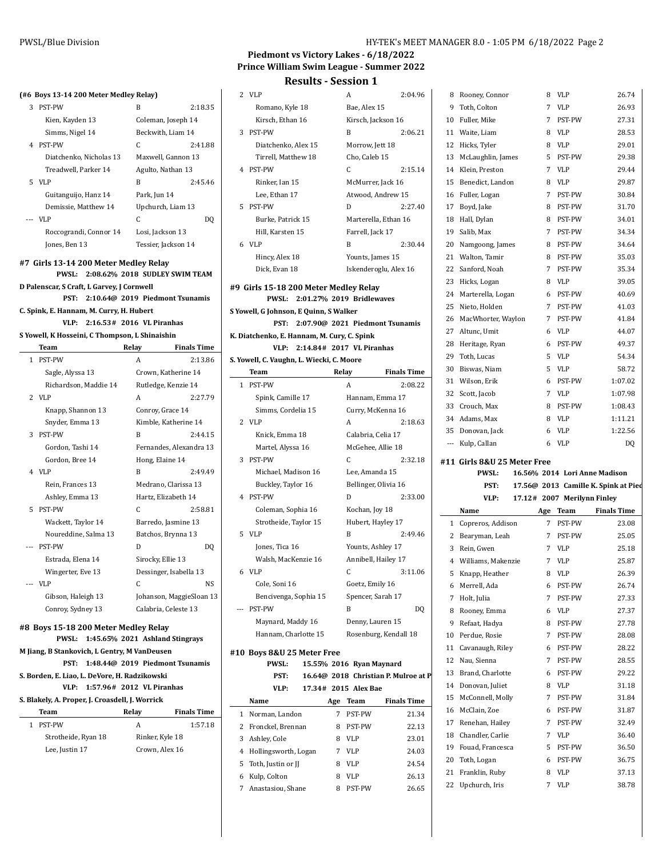#### **(#6 Boys 13-14 200 Meter Medley Relay)**

| <b>PST-PW</b>           | B            | 2:18.35                                                                                                                                            |
|-------------------------|--------------|----------------------------------------------------------------------------------------------------------------------------------------------------|
| Kien, Kayden 13         |              |                                                                                                                                                    |
| Simms, Nigel 14         |              |                                                                                                                                                    |
| <b>PST-PW</b>           | C            | 2:41.88                                                                                                                                            |
| Diatchenko, Nicholas 13 |              |                                                                                                                                                    |
| Treadwell, Parker 14    |              |                                                                                                                                                    |
|                         | B            | 2:45.46                                                                                                                                            |
| Guitanguijo, Hanz 14    | Park, Jun 14 |                                                                                                                                                    |
| Demissie, Matthew 14    |              |                                                                                                                                                    |
| VLP                     | C            | DO                                                                                                                                                 |
| Roccograndi, Connor 14  |              |                                                                                                                                                    |
| Jones, Ben 13           |              |                                                                                                                                                    |
|                         | VLP          | Coleman, Joseph 14<br>Beckwith, Liam 14<br>Maxwell, Gannon 13<br>Agulto, Nathan 13<br>Upchurch, Liam 13<br>Losi, Jackson 13<br>Tessier, Jackson 14 |

#### **#7 Girls 13-14 200 Meter Medley Relay**

**PWSL: 2:08.62% 2018 SUDLEY SWIM TEA D Palenscar, S Craft, L Garvey, J Cornwell PST: 2:10.64@ 2019 Piedmont Tsunamis**

**C. Spink, E. Hannam, M. Curry, H. Hubert**

**VLP: 2:16.53# 2016 VL Piranhas S Yowell, K Hosseini, C Thompson, L Shinaishin**

|   | Team                  | Relay             | <b>Finals Time</b>       |
|---|-----------------------|-------------------|--------------------------|
| 1 | <b>PST-PW</b>         | A                 | 2:13.86                  |
|   | Sagle, Alyssa 13      |                   | Crown, Katherine 14      |
|   | Richardson, Maddie 14 |                   | Rutledge, Kenzie 14      |
|   | $2$ VLP               | A                 | 2:27.79                  |
|   | Knapp, Shannon 13     | Conroy, Grace 14  |                          |
|   | Snyder, Emma 13       |                   | Kimble, Katherine 14     |
| 3 | PST-PW                | B                 | 2:44.15                  |
|   | Gordon, Tashi 14      |                   | Fernandes, Alexandra 13  |
|   | Gordon, Bree 14       | Hong, Elaine 14   |                          |
|   | 4 VLP                 | B                 | 2:49.49                  |
|   | Rein, Frances 13      |                   | Medrano, Clarissa 13     |
|   | Ashley, Emma 13       |                   | Hartz, Elizabeth 14      |
| 5 | <b>PST-PW</b>         | C                 | 2:58.81                  |
|   | Wackett, Taylor 14    |                   | Barredo, Jasmine 13      |
|   | Noureddine, Salma 13  |                   | Batchos, Brynna 13       |
|   | PST-PW                | D                 | DQ                       |
|   | Estrada, Elena 14     | Sirocky, Ellie 13 |                          |
|   | Wingerter, Eve 13     |                   | Dessinger, Isabella 13   |
|   | VLP                   | C                 | <b>NS</b>                |
|   | Gibson, Haleigh 13    |                   | Johanson, MaggieSloan 13 |
|   | Conroy, Sydney 13     |                   | Calabria, Celeste 13     |

#### **#8 Boys 15-18 200 Meter Medley Relay PWSL: 1:45.65% 2021 Ashland Stingrays**

**M Jiang, B Stankovich, L Gentry, M VanDeusen**

**PST: 1:48.44@ 2019 Piedmont Tsunamis**

**S. Borden, E. Liao, L. DeVore, H. Radzikowski VLP: 1:57.96# 2012 VL Piranhas**

**S. Blakely, A. Proper, J. Croasdell, J. Worrick**

|   | 3. Blakely, A. FTOPEI, J. CI 0asuell, J. WOITICK |                 |                    |
|---|--------------------------------------------------|-----------------|--------------------|
|   | Team                                             | Relay           | <b>Finals Time</b> |
| 1 | PST-PW                                           | А               | 1:57.18            |
|   | Strotheide, Ryan 18                              | Rinker, Kyle 18 |                    |
|   | Lee, Justin 17                                   | Crown, Alex 16  |                    |
|   |                                                  |                 |                    |

# **Piedmont vs Victory Lakes - 6/18/2022 Prince William Swim League - Summer 2022 Results - Session 1**

|      | 2 VLP                                        |                                      | A                      | 2:04.96                              |     | 8 Rooney, Connor                            |   | 8 VLP                       | 26.74                                                                                                           |
|------|----------------------------------------------|--------------------------------------|------------------------|--------------------------------------|-----|---------------------------------------------|---|-----------------------------|-----------------------------------------------------------------------------------------------------------------|
|      | Romano, Kyle 18                              |                                      | Bae, Alex 15           |                                      | 9   | Toth, Colton                                |   | 7 VLP                       | 26.93                                                                                                           |
|      | Kirsch, Ethan 16                             |                                      | Kirsch, Jackson 16     |                                      | 10  | Fuller, Mike                                |   | 7 PST-PW                    | 27.31                                                                                                           |
|      | 3 PST-PW                                     |                                      | B                      | 2:06.21                              | 11  | Waite, Liam                                 | 8 | <b>VLP</b>                  | 28.53                                                                                                           |
|      | Diatchenko, Alex 15                          |                                      | Morrow, Jett 18        |                                      |     | 12 Hicks, Tyler                             | 8 | <b>VLP</b>                  | 29.01                                                                                                           |
|      | Tirrell, Matthew 18                          |                                      | Cho, Caleb 15          |                                      | 13  | McLaughlin, James                           | 5 | PST-PW                      | 29.38                                                                                                           |
|      | 4 PST-PW                                     |                                      | C                      | 2:15.14                              | 14  | Klein, Preston                              | 7 | <b>VLP</b>                  | 29.44                                                                                                           |
|      | Rinker, Ian 15                               |                                      | McMurrer, Jack 16      |                                      | 15  | Benedict, Landon                            | 8 | <b>VLP</b>                  | 29.87                                                                                                           |
|      | Lee, Ethan 17                                |                                      |                        | Atwood, Andrew 15                    | 16  | Fuller, Logan                               | 7 | PST-PW                      | 30.84                                                                                                           |
|      | 5 PST-PW                                     |                                      | D                      | 2:27.40                              | 17  | Boyd, Jake                                  | 8 | PST-PW                      | 31.70                                                                                                           |
|      | Burke, Patrick 15                            |                                      |                        | Marterella, Ethan 16                 | 18  | Hall, Dylan                                 | 8 | PST-PW                      | 34.01                                                                                                           |
|      | Hill, Karsten 15                             |                                      | Farrell, Jack 17       |                                      | 19  | Salib, Max                                  | 7 | PST-PW                      | 34.34                                                                                                           |
|      | 6 VLP                                        |                                      | B                      | 2:30.44                              | 20  | Namgoong, James                             | 8 | PST-PW                      | 34.64                                                                                                           |
|      | Hincy, Alex 18                               |                                      | Younts, James 15       |                                      | 21  | Walton, Tamir                               | 8 | PST-PW                      | 35.03                                                                                                           |
|      | Dick, Evan 18                                |                                      |                        | Iskenderoglu, Alex 16                | 22  | Sanford, Noah                               | 7 | PST-PW                      | 35.34                                                                                                           |
|      |                                              |                                      |                        |                                      |     |                                             |   |                             |                                                                                                                 |
|      | #9 Girls 15-18 200 Meter Medley Relay        |                                      |                        |                                      | 23  | Hicks, Logan                                | 8 | <b>VLP</b>                  | 39.05                                                                                                           |
|      |                                              | PWSL: 2:01.27% 2019 Bridlewaves      |                        |                                      | 24  | Marterella, Logan                           | 6 | PST-PW                      | 40.69                                                                                                           |
|      | S Yowell, G Johnson, E Quinn, S Walker       |                                      |                        |                                      | 25  | Nieto, Holden                               | 7 | PST-PW                      | 41.03                                                                                                           |
|      |                                              | PST: 2:07.90@ 2021 Piedmont Tsunamis |                        |                                      | 26  | MacWhorter, Waylon                          | 7 | <b>PST-PW</b>               | 41.84                                                                                                           |
|      | K. Diatchenko, E. Hannam, M. Cury, C. Spink  |                                      |                        |                                      | 27  | Altunc, Umit                                | 6 | <b>VLP</b>                  | 44.07                                                                                                           |
|      |                                              | VLP: 2:14.84# 2017 VL Piranhas       |                        |                                      | 28  | Heritage, Ryan                              | 6 | <b>PST-PW</b>               | 49.37                                                                                                           |
|      | S. Yowell, C. Vaughn, L. Wiecki, C. Moore    |                                      |                        |                                      | 29  | Toth, Lucas                                 | 5 | VLP                         | 54.34                                                                                                           |
|      | Team                                         |                                      | Relay                  | <b>Finals Time</b>                   | 30  | Biswas, Niam                                | 5 | VLP                         | 58.72                                                                                                           |
|      | 1 PST-PW                                     |                                      | Α                      | 2:08.22                              | 31  | Wilson, Erik                                | 6 | PST-PW                      | 1:07.02                                                                                                         |
|      | Spink, Camille 17                            |                                      | Hannam, Emma 17        |                                      | 32  | Scott, Jacob                                |   | 7 VLP                       | 1:07.98                                                                                                         |
|      | Simms, Cordelia 15                           |                                      | Curry, McKenna 16      |                                      | 33  | Crouch, Max                                 | 8 | PST-PW                      | 1:08.43                                                                                                         |
|      |                                              |                                      |                        |                                      |     | Adams, Max                                  | 8 | VLP                         | 1:11.21                                                                                                         |
|      | 2 VLP                                        |                                      | A                      | 2:18.63                              | 34  |                                             |   |                             |                                                                                                                 |
|      | Knick, Emma 18                               |                                      | Calabria, Celia 17     |                                      | 35  | Donovan, Jack                               | 6 | <b>VLP</b>                  |                                                                                                                 |
|      | Martel, Alyssa 16                            |                                      | McGehee, Allie 18      |                                      | --- | Kulp, Callan                                | 6 | VLP                         |                                                                                                                 |
|      | 3 PST-PW                                     |                                      | C                      | 2:32.18                              |     |                                             |   |                             |                                                                                                                 |
|      | Michael, Madison 16                          |                                      | Lee, Amanda 15         |                                      |     | #11 Girls 8&U 25 Meter Free<br><b>PWSL:</b> |   |                             |                                                                                                                 |
|      | Buckley, Taylor 16                           |                                      | Bellinger, Olivia 16   |                                      |     | PST:                                        |   |                             | 16.56% 2014 Lori Anne Madison                                                                                   |
|      | 4 PST-PW                                     |                                      | D                      | 2:33.00                              |     |                                             |   |                             |                                                                                                                 |
|      |                                              |                                      |                        |                                      |     | VLP:                                        |   | 17.12# 2007 Merilynn Finley |                                                                                                                 |
|      | Coleman, Sophia 16                           |                                      | Kochan, Joy 18         |                                      |     | Name                                        |   | Age Team                    |                                                                                                                 |
|      | Strotheide, Taylor 15<br>5 VLP               |                                      | Hubert, Hayley 17<br>B | 2:49.46                              |     | 1 Copreros, Addison                         |   | 7 PST-PW                    |                                                                                                                 |
|      |                                              |                                      |                        |                                      |     | 2 Bearyman, Leah                            |   | 7 PST-PW                    |                                                                                                                 |
|      | Jones, Tica 16                               |                                      | Younts, Ashley 17      |                                      | 3   | Rein, Gwen                                  |   | 7 VLP                       |                                                                                                                 |
|      | Walsh, MacKenzie 16                          |                                      | Annibell, Hailey 17    |                                      |     | Williams, Makenzie                          |   | 7 VLP                       | 1:22.56<br>DQ<br>17.56@ 2013 Camille K. Spink at Pied<br><b>Finals Time</b><br>23.08<br>25.05<br>25.18<br>25.87 |
|      | 6 VLP                                        |                                      | C.                     | 3:11.06                              | 5   | Knapp, Heather                              | 8 | <b>VLP</b>                  |                                                                                                                 |
|      | Cole, Soni 16                                |                                      | Goetz, Emily 16        |                                      | 6   | Merrell, Ada                                | 6 | PST-PW                      | 26.39<br>26.74                                                                                                  |
| n 13 | Bencivenga, Sophia 15                        |                                      | Spencer, Sarah 17      |                                      | 7   | Holt, Julia                                 | 7 | PST-PW                      | 27.33                                                                                                           |
|      | --- PST-PW                                   |                                      | B                      | DQ                                   | 8   | Rooney, Emma                                | 6 | VLP                         |                                                                                                                 |
|      | Maynard, Maddy 16                            |                                      | Denny, Lauren 15       |                                      | 9   | Refaat, Hadya                               | 8 | PST-PW                      |                                                                                                                 |
|      | Hannam, Charlotte 15                         |                                      |                        | Rosenburg, Kendall 18                | 10  | Perdue, Rosie                               | 7 | PST-PW                      | 27.37<br>27.78<br>28.08                                                                                         |
|      | #10 Boys 8&U 25 Meter Free                   |                                      |                        |                                      | 11  | Cavanaugh, Riley                            | 6 | PST-PW                      | 28.22                                                                                                           |
|      | <b>PWSL:</b>                                 | 15.55% 2016 Ryan Maynard             |                        |                                      | 12  | Nau, Sienna                                 | 7 | PST-PW                      | 28.55                                                                                                           |
|      | PST:                                         |                                      |                        | 16.64@ 2018 Christian P. Mulroe at P | 13  | Brand, Charlotte                            | 6 | PST-PW                      |                                                                                                                 |
|      | VLP:                                         | 17.34# 2015 Alex Bae                 |                        |                                      | 14  | Donovan, Juliet                             | 8 | <b>VLP</b>                  |                                                                                                                 |
|      | Name                                         |                                      | Age Team               | <b>Finals Time</b>                   | 15  | McConnell, Molly                            | 7 | PST-PW                      |                                                                                                                 |
|      | 1 Norman, Landon                             |                                      | PST-PW<br>7            | 21.34                                | 16  | McClain, Zoe                                | 6 | PST-PW                      |                                                                                                                 |
|      |                                              |                                      |                        |                                      | 17  | Renehan, Hailey                             | 7 | PST-PW                      |                                                                                                                 |
|      | Fronckel, Brennan<br>2                       | 8                                    | PST-PW                 | 22.13                                | 18  | Chandler, Carlie                            | 7 | <b>VLP</b>                  |                                                                                                                 |
|      | 3<br>Ashley, Cole                            | 8                                    | VLP                    | 23.01                                | 19  | Fouad, Francesca                            | 5 | PST-PW                      |                                                                                                                 |
|      | Hollingsworth, Logan<br>4                    |                                      | 7 VLP                  | 24.03                                | 20  | Toth, Logan                                 | 6 | PST-PW                      |                                                                                                                 |
|      | Toth, Justin or JJ<br>5<br>Kulp, Colton<br>6 | 8<br>8                               | VLP<br>VLP             | 24.54<br>26.13                       | 21  | Franklin, Ruby                              | 8 | <b>VLP</b>                  | 29.22<br>31.18<br>31.84<br>31.87<br>32.49<br>36.40<br>36.50<br>36.75<br>37.13                                   |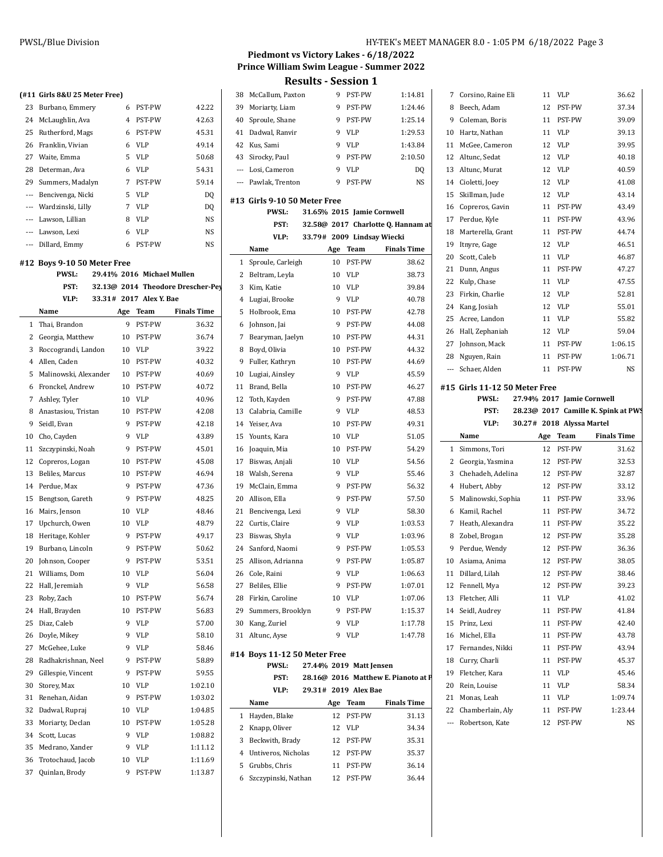|          | (#11 Girls 8&U 25 Meter Free) |                |                            |                                   | 38             | M              |
|----------|-------------------------------|----------------|----------------------------|-----------------------------------|----------------|----------------|
| 23       | Burbano, Emmery               | 6              | PST-PW                     | 42.22                             | 39             | M              |
| 24       | McLaughlin, Ava               | $\overline{4}$ | PST-PW                     | 42.63                             | 40             | Sŗ             |
| 25       | Rutherford, Mags              | 6              | PST-PW                     | 45.31                             | 41             | D.             |
| 26       | Franklin, Vivian              | 6              | <b>VLP</b>                 | 49.14                             | 42             | Κı             |
| 27       | Waite, Emma                   | 5              | VLP                        | 50.68                             | 43             | Si             |
| 28       | Determan, Ava                 | 6              | <b>VLP</b>                 | 54.31                             | ---            | L0             |
| 29       | Summers, Madalyn              | 7              | PST-PW                     | 59.14                             | $---$          | Pa             |
| ---      | Bencivenga, Nicki             | 5              | <b>VLP</b>                 | DQ                                |                |                |
| $---$    | Wardzinski, Lilly             | 7              | <b>VLP</b>                 | DQ                                | #13 Gi         |                |
| $---$    | Lawson, Lillian               | 8              | VLP                        | NS                                |                |                |
|          | --- Lawson, Lexi              | 6              | <b>VLP</b>                 | NS                                |                |                |
|          | --- Dillard, Emmy             | 6              | PST-PW                     | NS                                |                |                |
|          |                               |                |                            |                                   |                | N.             |
|          | #12 Boys 9-10 50 Meter Free   |                |                            |                                   | 1              | Sŗ             |
|          | <b>PWSL:</b>                  |                | 29.41% 2016 Michael Mullen |                                   | $\overline{c}$ | B <sub>6</sub> |
|          | PST:                          |                |                            | 32.13@ 2014 Theodore Drescher-Pey | 3              | Ki             |
|          | VLP:                          |                | 33.31# 2017 Alex Y. Bae    |                                   | $^{4}$         | Lı             |
|          | Name                          | Age            | Team                       | <b>Finals Time</b>                | 5              | H              |
| 1        | Thai, Brandon                 | 9              | PST-PW                     | 36.32                             | 6              | Jo             |
| 2        | Georgia, Matthew              | 10             | PST-PW                     | 36.74                             | 7              | B <sub>6</sub> |
| 3        | Roccograndi, Landon           |                | 10 VLP                     | 39.22                             |                | 8 B            |
| 4        | Allen, Caden                  |                | 10 PST-PW                  | 40.32                             | 9              | Fı             |
| 5        | Malinowski, Alexander         |                | 10 PST-PW                  | 40.69                             | 10             | Lı             |
| 6        | Fronckel, Andrew              | 10             | PST-PW                     | 40.72                             | 11             | Bı             |
| 7        | Ashley, Tyler                 | 10             | VLP                        | 40.96                             | 12             | Т              |
| 8        | Anastasiou, Tristan           | 10             | PST-PW                     | 42.08                             | 13             | Сa             |
| 9        | Seidl, Evan                   | 9              | PST-PW                     | 42.18                             | 14             | Yε             |
| 10       | Cho, Cayden                   | 9              | <b>VLP</b>                 | 43.89                             | 15             | Yc             |
| 11       | Szczypinski, Noah             | 9              | PST-PW                     | 45.01                             | 16             | Jo             |
| 12       | Copreros, Logan               | 10             | PST-PW                     | 45.08                             | 17             | Bi             |
| 13       | Beliles, Marcus               | 10             | PST-PW                     | 46.94                             | 18             | W              |
| 14       | Perdue, Max                   | 9              | PST-PW                     | 47.36                             | 19             | M              |
| 15       | Bengtson, Gareth              | 9              | PST-PW                     | 48.25                             | 20             | Al             |
| 16       | Mairs, Jenson                 | 10             | <b>VLP</b>                 | 48.46                             | 21             | Bε             |
| 17       | Upchurch, Owen                | 10             | VLP                        | 48.79                             | 22             | Cι             |
| 18       | Heritage, Kohler              | 9              | PST-PW                     | 49.17                             | 23             | Bi             |
| 19       | Burbano, Lincoln              | 9              | PST-PW                     | 50.62                             | 24             | Sa             |
| 20       | Johnson, Cooper               | 9              | PST-PW                     | 53.51                             | 25             | Al             |
| 21       | Williams, Dom                 | 10             | VLP                        | 56.04                             | 26 Co          |                |
| 22       | Hall, Jeremiah                | 9              | VLP                        | 56.58                             | 27             | Bε             |
| 23       | Roby, Zach                    | 10             | PST-PW                     | 56.74                             | 28             | Fi             |
| 24       | Hall, Brayden                 | 10             | PST-PW                     | 56.83                             | 29             | Sι             |
| 25       | Diaz, Caleb                   | 9              | VLP                        | 57.00                             | 30             | K              |
| 26       | Doyle, Mikey                  | 9              | VLP                        | 58.10                             | 31             | Al             |
| 27       | McGehee, Luke                 | 9              | VLP                        | 58.46                             |                |                |
| 28       | Radhakrishnan, Neel           | 9              | PST-PW                     | 58.89                             | #14 B          |                |
|          | Gillespie, Vincent            | 9              |                            |                                   |                |                |
| 29<br>30 |                               |                | PST-PW                     | 59.55                             |                |                |
|          | Storey, Max                   | 10             | VLP                        | 1:02.10                           |                |                |
| 31       | Renehan, Aidan                | 9              | PST-PW                     | 1:03.02                           |                | N.             |
| 32       | Dadwal, Rupraj                | 10             | VLP                        | 1:04.85                           | 1              | H.             |
| 33       | Moriarty, Declan              | 10             | PST-PW                     | 1:05.28                           | 2              | Kı             |
| 34       | Scott, Lucas                  | 9              | VLP                        | 1:08.82                           | 3              | Bε             |
| 35       | Medrano, Xander               | 9              | VLP                        | 1:11.12                           | 4              | Uı             |
| 36       | Trotochaud, Jacob             | 10             | VLP                        | 1:11.69                           | 5              | Gı             |
| 37       | Quinlan, Brody                | 9              | PST-PW                     | 1:13.87                           |                |                |

#### **Piedmont vs Victory Lakes - 6/18/2022 Prince William Swim League - Summer 2022 Results - Session 1**

| Results - Session 1 |
|---------------------|
|---------------------|

| 38                       | McCallum, Paxton             | 9   | PST-PW                     | 1:14.81                             | 7            | $\mathsf{C}$ |
|--------------------------|------------------------------|-----|----------------------------|-------------------------------------|--------------|--------------|
| 39                       | Moriarty, Liam               | 9   | PST-PW                     | 1:24.46                             | 8            | B            |
| 40                       | Sproule, Shane               | 9   | PST-PW                     | 1:25.14                             | 9            | C            |
| 41                       | Dadwal, Ranvir               | 9   | <b>VLP</b>                 | 1:29.53                             | 10           | E            |
| 42                       | Kus, Sami                    | 9   | <b>VLP</b>                 | 1:43.84                             | 11           | Ν            |
| 43                       | Sirocky, Paul                | 9   | PST-PW                     | 2:10.50                             | 12           | A            |
| $\overline{\phantom{a}}$ | Losi, Cameron                | 9   | <b>VLP</b>                 | DQ                                  | 13           | A            |
| ---                      | Pawlak, Trenton              | 9   | PST-PW                     | NS                                  | 14           | C            |
|                          |                              |     |                            |                                     | 15           | S            |
|                          | #13 Girls 9-10 50 Meter Free |     |                            |                                     | 16           | C            |
|                          | <b>PWSL:</b>                 |     | 31.65% 2015 Jamie Cornwell |                                     | 17           | P            |
|                          | PST:                         |     |                            | 32.58@ 2017 Charlotte Q. Hannam at  | 18           | Ν            |
|                          | VLP:                         |     | 33.79# 2009 Lindsay Wiecki |                                     | 19           | Ī            |
|                          | Name                         | Age | Team                       | <b>Finals Time</b>                  | 20           | S            |
| $\mathbf{1}$             | Sproule, Carleigh            | 10  | PST-PW                     | 38.62                               | 21           | D            |
| $\overline{2}$           | Beltram, Leyla               | 10  | VLP                        | 38.73                               | 22           | K            |
| 3                        | Kim, Katie                   | 10  | VLP                        | 39.84                               | 23           | F            |
| $\overline{4}$           | Lugiai, Brooke               | 9   | VLP                        | 40.78                               | 24           | K            |
| 5                        | Holbrook, Ema                | 10  | PST-PW                     | 42.78                               | 25           | A            |
| 6                        | Johnson, Jai                 | 9   | PST-PW                     | 44.08                               | 26           | E            |
| 7                        | Bearyman, Jaelyn             |     | 10 PST-PW                  | 44.31                               | 27           | J۱           |
| 8                        | Boyd, Olivia                 | 10  | PST-PW                     | 44.32                               | 28           | N            |
| 9                        | Fuller, Kathryn              | 10  | PST-PW                     | 44.69                               | ---          | S            |
| 10                       | Lugiai, Ainsley              | 9   | VLP                        | 45.59                               |              |              |
| 11                       | Brand, Bella                 | 10  | PST-PW                     | 46.27                               | #15 G        |              |
| 12                       | Toth, Kayden                 | 9   | PST-PW                     | 47.88                               |              |              |
| 13                       | Calabria, Camille            | 9   | VLP                        | 48.53                               |              |              |
| 14                       | Yeiser, Ava                  | 10  | PST-PW                     | 49.31                               |              |              |
| 15                       | Younts, Kara                 | 10  | <b>VLP</b>                 | 51.05                               |              | N            |
| 16                       | Joaquin, Mia                 | 10  | PST-PW                     | 54.29                               | $\mathbf{1}$ | S            |
| 17                       | Biswas, Anjali               | 10  | VLP                        | 54.56                               | 2            | G            |
| 18                       | Walsh, Serena                | 9   | <b>VLP</b>                 | 55.46                               | 3            | $\mathsf{C}$ |
| 19                       | McClain, Emma                | 9   | PST-PW                     | 56.32                               | 4            | E            |
| 20                       | Allison, Ella                | 9   | PST-PW                     | 57.50                               | 5            | Ņ            |
| 21                       | Bencivenga, Lexi             | 9   | <b>VLP</b>                 | 58.30                               | 6            | K            |
| 22                       | Curtis, Claire               | 9   | <b>VLP</b>                 | 1:03.53                             | 7            | E            |
| 23                       | Biswas, Shyla                | 9   | VLP                        | 1:03.96                             | 8            | Z            |
| 24                       | Sanford, Naomi               | 9   | PST-PW                     | 1:05.53                             | 9            | P            |
| 25                       | Allison, Adrianna            | 9   | PST-PW                     | 1:05.87                             | 10           | A            |
|                          | 26 Cole, Raini               |     | 9 VLP                      | 1:06.63                             | 11           | L            |
| 27                       | Beliles, Ellie               | 9   | PST-PW                     | 1:07.01                             | 12           | F            |
| 28                       | Firkin, Caroline             | 10  | VLP                        | 1:07.06                             | 13           | F            |
|                          | 29 Summers, Brooklyn         | 9   | PST-PW                     | 1:15.37                             | 14           | S            |
|                          | 30 Kang, Zuriel              | 9   | VLP                        | 1:17.78                             | 15           | P            |
| 31                       | Altunc, Ayse                 | 9   | <b>VLP</b>                 | 1:47.78                             | 16           | Ņ            |
|                          | #14 Boys 11-12 50 Meter Free |     |                            |                                     | 17           | F            |
|                          | <b>PWSL:</b>                 |     | 27.44% 2019 Matt Jensen    |                                     | 18           | C            |
|                          | PST:                         |     |                            | 28.16@ 2016 Matthew E. Pianoto at P | 19           | F            |
|                          | VLP:                         |     | 29.31# 2019 Alex Bae       |                                     | 20           | R            |
|                          | Name                         |     | Age Team                   | <b>Finals Time</b>                  | 21           | Ņ            |
| 1                        | Hayden, Blake                | 12  | PST-PW                     | 31.13                               | 22           | C            |
| 2                        | Knapp, Oliver                | 12  | VLP                        | 34.34                               | ---          | R            |
| 3                        | Beckwith, Brady              |     | 12 PST-PW                  | 35.31                               |              |              |
| $\overline{4}$           | Untiveros, Nicholas          |     | 12 PST-PW                  | 35.37                               |              |              |
| 5                        | Grubbs, Chris                |     | 11 PST-PW                  | 36.14                               |              |              |
| 6                        | Szczypinski, Nathan          | 12  | PST-PW                     | 36.44                               |              |              |
|                          |                              |     |                            |                                     |              |              |

| 7            | Corsino, Raine Eli            | 11 | VLP                                   | 36.62                                                     |
|--------------|-------------------------------|----|---------------------------------------|-----------------------------------------------------------|
| 8            | Beech, Adam                   | 12 | PST-PW                                | 37.34                                                     |
| 9            | Coleman, Boris                | 11 | PST-PW                                | 39.09                                                     |
| 10           | Hartz, Nathan                 | 11 | <b>VLP</b>                            | 39.13                                                     |
| 11           | McGee, Cameron                | 12 | <b>VLP</b>                            | 39.95                                                     |
| 12           | Altunc, Sedat                 | 12 | VLP                                   | 40.18                                                     |
| 13           | Altunc, Murat                 | 12 | <b>VLP</b>                            | 40.59                                                     |
|              | 14 Cioletti, Joey             | 12 | VLP                                   | 41.08                                                     |
| 15           | Skillman, Jude                |    | 12 VLP                                | 43.14                                                     |
| 16           | Copreros, Gavin               | 11 | PST-PW                                | 43.49                                                     |
| 17           | Perdue, Kyle                  |    | 11 PST-PW                             | 43.96                                                     |
| 18           | Marterella, Grant             |    | 11 PST-PW                             | 44.74                                                     |
| 19           | Itnyre, Gage                  | 12 | VLP                                   | 46.51                                                     |
| 20           | Scott, Caleb                  | 11 | <b>VLP</b>                            | 46.87                                                     |
| 21           | Dunn, Angus                   | 11 | PST-PW                                | 47.27                                                     |
| 22           | Kulp, Chase                   | 11 | <b>VLP</b>                            | 47.55                                                     |
| 23           | Firkin, Charlie               | 12 | <b>VLP</b>                            | 52.81                                                     |
| 24           | Kang, Josiah                  | 12 | <b>VLP</b>                            | 55.01                                                     |
| 25           | Acree, Landon                 | 11 | <b>VLP</b>                            | 55.82                                                     |
| 26           | Hall, Zephaniah               |    | 12 VLP                                | 59.04                                                     |
|              | 27 Johnson, Mack              |    | 11 PST-PW                             | 1:06.15                                                   |
| 28           | Nguyen, Rain                  |    | 11 PST-PW                             | 1:06.71                                                   |
| $---$        | Schaer, Alden                 |    | 11 PST-PW                             | NS                                                        |
|              | #15 Girls 11-12 50 Meter Free |    |                                       |                                                           |
|              | PWSL:                         |    | 27.94% 2017 Jamie Cornwell            |                                                           |
|              |                               |    |                                       |                                                           |
|              |                               |    |                                       |                                                           |
|              | PST:<br>VLP:                  |    |                                       |                                                           |
|              | Name                          |    | 30.27# 2018 Alyssa Martel<br>Age Team | 28.23@ 2017 Camille K. Spink at PWS<br><b>Finals Time</b> |
| $\mathbf{1}$ | Simmons, Tori                 | 12 | PST-PW                                | 31.62                                                     |
|              | 2 Georgia, Yasmina            |    | 12 PST-PW                             | 32.53                                                     |
| 3            | Chehadeh, Adelina             |    | 12 PST-PW                             | 32.87                                                     |
| 4            | Hubert, Abby                  |    | 12 PST-PW                             | 33.12                                                     |
| 5            | Malinowski, Sophia            |    | 11 PST-PW                             | 33.96                                                     |
| 6            | Kamil, Rachel                 | 11 | PST-PW                                | 34.72                                                     |
| 7            | Heath, Alexandra              | 11 | PST-PW                                | 35.22                                                     |
| 8            | Zobel, Brogan                 | 12 | PST-PW                                | 35.28                                                     |
| 9            | Perdue, Wendy                 |    | 12 PST-PW                             | 36.36                                                     |
|              | 10 Asiama, Anima              |    | 12 PST-PW                             | 38.05                                                     |
| 11           | Dillard, Lilah                | 12 | PST-PW                                | 38.46                                                     |
| 12           | Fennell, Mya                  | 12 | PST-PW                                | 39.23                                                     |
| 13           | Fletcher, Alli                | 11 | VLP                                   | 41.02                                                     |
| 14           | Seidl, Audrey                 | 11 | PST-PW                                | 41.84                                                     |
| 15           | Prinz, Lexi                   | 11 | PST-PW                                | 42.40                                                     |
| 16           | Michel, Ella                  | 11 | PST-PW                                | 43.78                                                     |
| 17           | Fernandes, Nikki              | 11 | PST-PW                                | 43.94                                                     |
| 18           | Curry, Charli                 | 11 | PST-PW                                | 45.37                                                     |
| 19           | Fletcher, Kara                | 11 | VLP                                   | 45.46                                                     |
| 20           | Rein, Louise                  | 11 | VLP                                   | 58.34                                                     |
| 21           | Monas, Leah                   | 11 | <b>VLP</b>                            | 1:09.74                                                   |
| 22           | Chamberlain, Aly              | 11 | PST-PW                                | 1:23.44                                                   |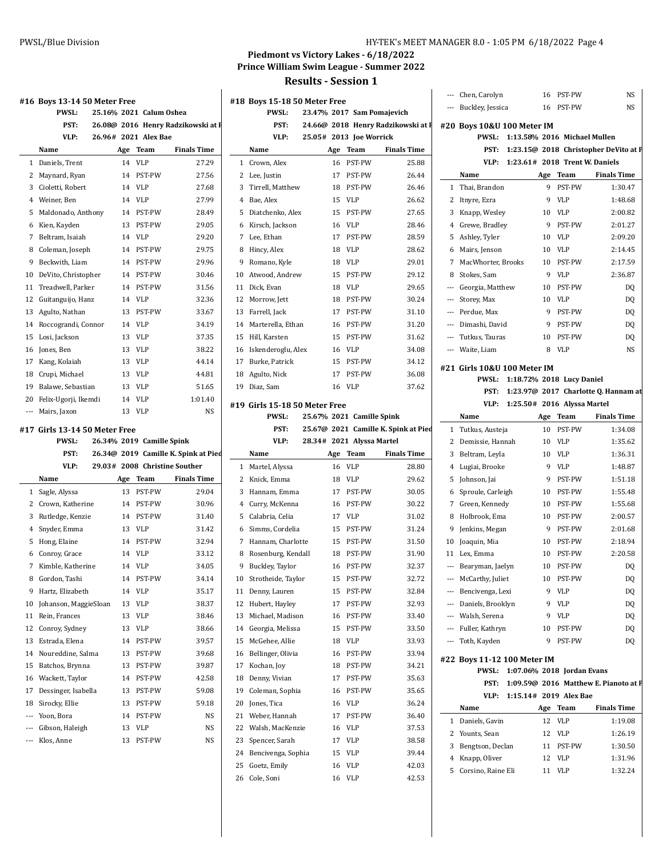**#16** 

**#17** 

# **Piedmont vs Victory Lakes - 6/18/2022 Prince William Swim League - Summer 2022**

|                                            |          |                                      |                                    |    |                                           | THE MILD - DESSION T       |                        |                                      |       |                                           |    |                                     |                                                       |
|--------------------------------------------|----------|--------------------------------------|------------------------------------|----|-------------------------------------------|----------------------------|------------------------|--------------------------------------|-------|-------------------------------------------|----|-------------------------------------|-------------------------------------------------------|
| 16 Boys 13-14 50 Meter Free                |          |                                      |                                    |    | #18 Boys 15-18 50 Meter Free              |                            |                        |                                      |       | --- Chen, Carolyn<br>--- Buckley, Jessica |    | 16 PST-PW<br>16 PST-PW              | NS<br><b>NS</b>                                       |
| <b>PWSL:</b>                               |          | 25.16% 2021 Calum Oshea              |                                    |    | <b>PWSL:</b>                              | 23.47% 2017 Sam Pomajevich |                        |                                      |       |                                           |    |                                     |                                                       |
| PST:                                       |          |                                      | 26.08@ 2016 Henry Radzikowski at I |    | PST:                                      |                            |                        | 24.66@ 2018 Henry Radzikowski at F   |       | #20 Boys 10&U 100 Meter IM                |    |                                     |                                                       |
| VLP:                                       |          | 26.96# 2021 Alex Bae                 |                                    |    | VLP:                                      | 25.05# 2013 Joe Worrick    |                        |                                      |       |                                           |    | PWSL: 1:13.58% 2016 Michael Mullen  |                                                       |
| Name                                       |          | Age Team                             | <b>Finals Time</b>                 |    | Name                                      |                            | Age Team               | <b>Finals Time</b>                   |       |                                           |    |                                     | PST: 1:23.15@ 2018 Christopher DeVito at P            |
| 1 Daniels, Trent                           |          | 14 VLP                               | 27.29                              |    | 1 Crown, Alex                             |                            | 16 PST-PW              | 25.88                                |       |                                           |    | VLP: 1:23.61# 2018 Trent W. Daniels |                                                       |
| 2 Maynard, Ryan                            |          | 14 PST-PW                            | 27.56                              |    | 2 Lee, Justin                             | 17                         | PST-PW                 | 26.44                                |       | Name                                      |    | Age Team                            | <b>Finals Time</b>                                    |
| 3 Cioletti, Robert                         |          | 14 VLP                               | 27.68                              |    | 3 Tirrell, Matthew                        | 18                         | PST-PW                 | 26.46                                |       | 1 Thai, Brandon                           |    | 9 PST-PW                            | 1:30.47                                               |
| 4 Weiner, Ben                              | 14       | <b>VLP</b>                           | 27.99                              |    | 4 Bae, Alex                               | 15                         | VLP                    | 26.62                                |       | 2 Itnyre, Ezra                            |    | 9 VLP                               | 1:48.68                                               |
| 5 Maldonado, Anthony                       |          | 14 PST-PW                            | 28.49                              |    | 5 Diatchenko, Alex                        | 15                         | <b>PST-PW</b>          | 27.65                                |       | 3 Knapp, Wesley                           |    | 10 VLP                              | 2:00.82                                               |
| 6 Kien, Kayden                             | 13       | PST-PW                               | 29.05                              |    | 6 Kirsch, Jackson                         | 16                         | VLP                    | 28.46                                |       | 4 Grewe, Bradley                          | 9  | PST-PW                              | 2:01.27                                               |
| 7 Beltram, Isaiah                          |          | 14 VLP                               | 29.20                              |    | 7 Lee, Ethan                              | 17                         | PST-PW                 | 28.59                                |       | 5 Ashley, Tyler                           |    | 10 VLP                              | 2:09.20                                               |
| 8 Coleman, Joseph                          |          | 14 PST-PW                            | 29.75                              |    | 8 Hincy, Alex                             | 18                         | VLP                    | 28.62                                |       | 6 Mairs, Jenson                           |    | 10 VLP                              | 2:14.45                                               |
| 9 Beckwith, Liam                           |          | 14 PST-PW                            | 29.96                              |    | 9 Romano, Kyle                            | 18                         | VLP                    | 29.01                                |       | 7 MacWhorter, Brooks                      |    | 10 PST-PW                           | 2:17.59                                               |
| 10 DeVito, Christopher                     |          | 14 PST-PW                            | 30.46                              |    | 10 Atwood, Andrew                         | 15                         | PST-PW                 | 29.12                                |       | 8 Stokes, Sam                             | 9  | VLP                                 | 2:36.87                                               |
| 11 Treadwell, Parker                       |          | 14 PST-PW                            | 31.56                              |    | 11 Dick, Evan                             | 18                         | VLP                    | 29.65                                |       | --- Georgia, Matthew                      |    | 10 PST-PW                           | DQ                                                    |
| 12 Guitanguijo, Hanz                       |          | 14 VLP                               | 32.36                              |    | 12 Morrow, Jett                           | 18                         | PST-PW                 | 30.24                                |       | --- Storey, Max                           |    | 10 VLP                              | DQ                                                    |
| 13 Agulto, Nathan                          |          | 13 PST-PW                            | 33.67                              |    | 13 Farrell, Jack                          | 17                         | PST-PW                 | 31.10                                | $---$ | Perdue, Max                               | 9  | PST-PW                              | DQ                                                    |
| 14 Roccograndi, Connor                     |          | 14 VLP                               | 34.19                              |    | 14 Marterella, Ethan                      | 16                         | PST-PW                 | 31.20                                |       | --- Dimashi, David                        |    | 9 PST-PW                            | DQ                                                    |
| 15 Losi, Jackson                           |          | 13 VLP                               | 37.35                              |    | 15 Hill, Karsten                          | 15                         | PST-PW                 | 31.62                                |       | --- Tutkus, Tauras                        |    | 10 PST-PW                           | DQ                                                    |
| 16 Jones, Ben                              | 13       | <b>VLP</b>                           | 38.22                              |    | 16 Iskenderoglu, Alex                     | 16                         | VLP                    | 34.08                                |       | --- Waite, Liam                           |    | 8 VLP                               | <b>NS</b>                                             |
| 17 Kang, Kolaiah                           | 13       | VLP                                  | 44.14                              |    | 17 Burke, Patrick                         | 15                         | PST-PW                 | 34.12                                |       | #21 Girls 10&U 100 Meter IM               |    |                                     |                                                       |
| 18 Crupi, Michael                          | 13       | VLP                                  | 44.81                              |    | 18 Agulto, Nick                           | 17                         | PST-PW                 | 36.08                                |       |                                           |    | PWSL: 1:18.72% 2018 Lucy Daniel     |                                                       |
| 19 Balawe, Sebastian                       | 13       | <b>VLP</b>                           | 51.65                              |    | 19 Diaz, Sam                              | 16                         | VLP                    | 37.62                                |       |                                           |    |                                     | PST: 1:23.97@ 2017 Charlotte Q. Hannam at             |
| 20 Felix-Ugorji, Ikemdi                    | 14       | VLP                                  | 1:01.40                            |    | #19 Girls 15-18 50 Meter Free             |                            |                        |                                      |       |                                           |    | VLP: 1:25.50# 2016 Alyssa Martel    |                                                       |
| --- Mairs, Jaxon                           |          | 13 VLP                               | NS                                 |    | <b>PWSL:</b>                              | 25.67% 2021 Camille Spink  |                        |                                      |       | Name                                      |    | Age Team                            | <b>Finals Time</b>                                    |
| 17  Girls 13-14 50 Meter Free              |          |                                      |                                    |    | PST:                                      |                            |                        | 25.67@ 2021 Camille K. Spink at Pied |       | 1 Tutkus, Austeja                         |    | 10 PST-PW                           | 1:34.08                                               |
| <b>PWSL:</b>                               |          | 26.34% 2019 Camille Spink            |                                    |    | VLP:                                      | 28.34# 2021 Alyssa Martel  |                        |                                      |       | 2 Demissie, Hannah                        |    | 10 VLP                              | 1:35.62                                               |
| PST:                                       |          | 26.34@ 2019 Camille K. Spink at Pied |                                    |    | Name                                      |                            |                        |                                      |       |                                           |    | 10 VLP                              |                                                       |
|                                            |          |                                      |                                    |    |                                           | Age                        | Team                   | <b>Finals Time</b>                   |       |                                           |    |                                     |                                                       |
| VLP:                                       |          |                                      | 29.03# 2008 Christine Souther      |    |                                           |                            |                        |                                      |       | 3 Beltram, Leyla                          |    |                                     | 1:36.31                                               |
| Name                                       |          |                                      | <b>Finals Time</b>                 |    | 1 Martel, Alyssa                          | 16 VLP                     |                        | 28.80                                |       | 4 Lugiai, Brooke                          | 9  | 9 VLP<br>PST-PW                     | 1:48.87                                               |
|                                            |          | Age Team                             |                                    |    | 2 Knick, Emma                             | 18<br>17                   | VLP<br>PST-PW          | 29.62                                | 6     | 5 Johnson, Jai                            |    |                                     | 1:51.18                                               |
| 1 Sagle, Alyssa<br>2 Crown, Katherine      |          | 13 PST-PW<br>14 PST-PW               | 29.04                              |    | 3 Hannam, Emma<br>4 Curry, McKenna        | 16                         | PST-PW                 | 30.05                                |       | Sproule, Carleigh                         |    | 10 PST-PW<br>10 PST-PW              | 1:55.48                                               |
| 3 Rutledge, Kenzie                         |          | 14 PST-PW                            | 30.96<br>31.40                     |    | 5 Calabria, Celia                         | 17                         | VLP                    | 30.22<br>31.02                       |       | 7 Green, Kennedy<br>8 Holbrook, Ema       | 10 | PST-PW                              | 1:55.68<br>2:00.57                                    |
|                                            | 13       | VLP                                  | 31.42                              |    | 6 Simms, Cordelia                         | 15                         | <b>PST-PW</b>          | 31.24                                |       | 9 Jenkins, Megan                          | 9  | PST-PW                              | 2:01.68                                               |
| 4 Snyder, Emma                             | 14       | PST-PW                               | 32.94                              |    | 7 Hannam, Charlotte                       | 15                         | PST-PW                 | 31.50                                |       | 10 Joaquin, Mia                           | 10 | PST-PW                              | 2:18.94                                               |
| 5 Hong, Elaine<br>6 Conroy, Grace          |          | 14 VLP                               | 33.12                              |    | 8 Rosenburg, Kendall                      |                            | 18 PST-PW              | 31.90                                |       | 11 Lex, Emma                              |    | 10 PST-PW                           | 2:20.58                                               |
| 7 Kimble, Katherine                        |          | 14 VLP                               | 34.05                              |    |                                           |                            | 16 PST-PW              | 32.37                                |       |                                           |    | 10 PST-PW                           | D <sub>0</sub>                                        |
|                                            |          | 14 PST-PW                            |                                    |    | 9 Buckley, Taylor                         |                            |                        | 32.72                                |       | --- Bearyman, Jaelyn                      |    |                                     |                                                       |
| 8 Gordon, Tashi<br>9 Hartz, Elizabeth      |          | 14 VLP                               | 34.14<br>35.17                     |    | 10 Strotheide, Taylor<br>11 Denny, Lauren |                            | 15 PST-PW<br>15 PST-PW | 32.84                                |       | --- McCarthy, Juliet<br>Bencivenga, Lexi  |    | 10 PST-PW<br>9 VLP                  | DQ                                                    |
| 10 Johanson, MaggieSloan                   |          | 13 VLP                               | 38.37                              |    | 12 Hubert, Hayley                         |                            | 17 PST-PW              | 32.93                                |       | --- Daniels, Brooklyn                     |    | 9 VLP                               | DQ                                                    |
| 11 Rein, Frances                           |          | 13 VLP                               | 38.46                              |    | 13 Michael, Madison                       |                            | 16 PST-PW              | 33.40                                |       | --- Walsh, Serena                         |    | 9 VLP                               | DQ<br>DQ                                              |
|                                            | 13       |                                      |                                    |    |                                           | 15                         |                        |                                      |       | --- Fuller, Kathryn                       |    |                                     |                                                       |
| 12 Conroy, Sydney                          | 14       | VLP                                  | 38.66                              |    | 14 Georgia, Melissa                       | 18                         | PST-PW                 | 33.50                                |       | --- Toth, Kayden                          |    | 10 PST-PW<br>9 PST-PW               | DQ                                                    |
| 13 Estrada, Elena                          |          | PST-PW<br>PST-PW                     | 39.57                              |    | 15 McGehee, Allie                         |                            | VLP                    | 33.93                                |       |                                           |    |                                     | DQ                                                    |
| 14 Noureddine, Salma<br>15 Batchos, Brynna | 13<br>13 |                                      | 39.68<br>39.87                     |    | 16 Bellinger, Olivia                      | 16<br>18                   | PST-PW<br>PST-PW       | 33.94                                |       | #22 Boys 11-12 100 Meter IM               |    |                                     |                                                       |
|                                            |          | PST-PW                               |                                    |    | 17 Kochan, Joy                            |                            |                        | 34.21                                |       |                                           |    | PWSL: 1:07.06% 2018 Jordan Evans    |                                                       |
| 16 Wackett, Taylor                         | 14       | PST-PW                               | 42.58                              |    | 18 Denny, Vivian                          | 17                         | PST-PW                 | 35.63                                |       |                                           |    |                                     |                                                       |
| 17 Dessinger, Isabella                     | 13       | PST-PW                               | 59.08                              |    | 19 Coleman, Sophia                        | 16                         | PST-PW                 | 35.65                                |       |                                           |    | VLP: 1:15.14# 2019 Alex Bae         |                                                       |
| 18 Sirocky, Ellie                          | 13       | PST-PW                               | 59.18                              |    | 20 Jones, Tica                            | 16                         | VLP                    | 36.24                                |       | Name                                      |    | Age Team                            | <b>Finals Time</b>                                    |
| --- Yoon, Bora                             | 14       | PST-PW                               | NS                                 |    | 21 Weber, Hannah                          |                            | 17 PST-PW              | 36.40                                |       | 1 Daniels, Gavin                          |    | 12 VLP                              | 1:19.08                                               |
| --- Gibson, Haleigh                        |          | 13 VLP                               | NS                                 |    | 22 Walsh, MacKenzie                       |                            | 16 VLP                 | 37.53                                |       | 2 Younts, Sean                            |    | 12 VLP                              | 1:26.19                                               |
| --- Klos, Anne                             |          | 13 PST-PW                            | NS                                 |    | 23 Spencer, Sarah                         |                            | 17 VLP                 | 38.58                                |       | 3 Bengtson, Declan                        |    | 11 PST-PW                           | PST: 1:09.59@ 2016 Matthew E. Pianoto at P<br>1:30.50 |
|                                            |          |                                      |                                    | 25 | 24 Bencivenga, Sophia<br>Goetz, Emily     |                            | 15 VLP<br>16 VLP       | 39.44<br>42.03                       |       | 4 Knapp, Oliver                           |    | 12 VLP                              | 1:31.96                                               |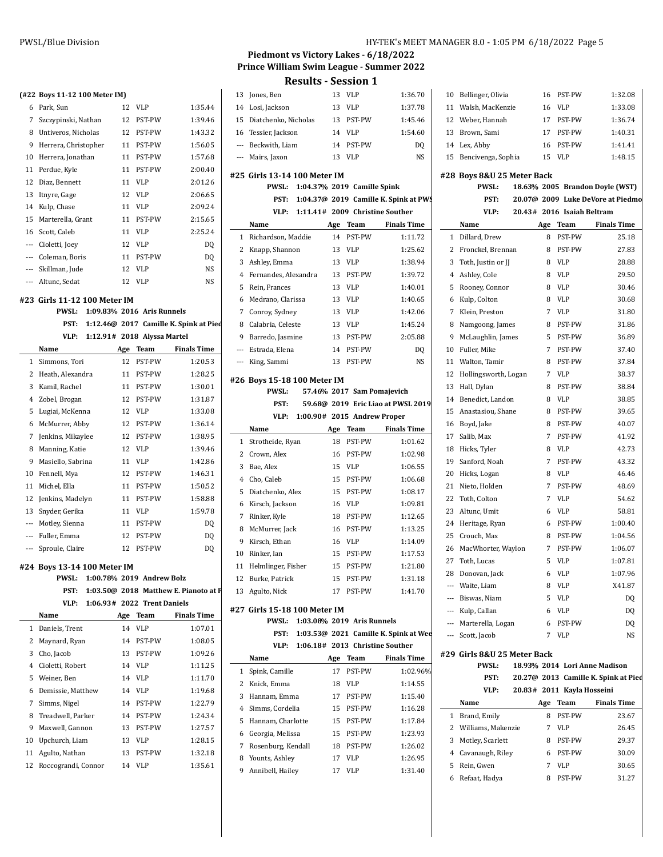| (#22 Boys 11-12 100 Meter IM) |
|-------------------------------|

| 6              | Park, Sun            | 12 | VLP           | 1:35.44   |
|----------------|----------------------|----|---------------|-----------|
| 7              | Szczypinski, Nathan  | 12 | PST-PW        | 1:39.46   |
| 8              | Untiveros, Nicholas  | 12 | <b>PST-PW</b> | 1:43.32   |
| 9              | Herrera, Christopher | 11 | PST-PW        | 1:56.05   |
| 10             | Herrera, Jonathan    | 11 | PST-PW        | 1:57.68   |
| 11             | Perdue, Kyle         | 11 | PST-PW        | 2:00.40   |
| 12             | Diaz, Bennett        | 11 | <b>VLP</b>    | 2:01.26   |
| 13             | Itnyre, Gage         | 12 | <b>VLP</b>    | 2:06.65   |
| 14             | Kulp, Chase          | 11 | <b>VLP</b>    | 2:09.24   |
| 15             | Marterella, Grant    | 11 | <b>PST-PW</b> | 2:15.65   |
|                | 16 Scott, Caleb      | 11 | <b>VLP</b>    | 2:25.24   |
| ---            | Cioletti, Joev       | 12 | <b>VLP</b>    | DQ        |
| $\overline{a}$ | Coleman, Boris       | 11 | <b>PST-PW</b> | DQ        |
| $---$          | Skillman, Jude       | 12 | <b>VLP</b>    | NS        |
|                | --- Altunc, Sedat    | 12 | <b>VLP</b>    | <b>NS</b> |

#### **#23 Girls 11-12 100 Meter IM**

|                | 23  Girls 11-12 100 Meter IM |     |                             |                                        | 6              |
|----------------|------------------------------|-----|-----------------------------|----------------------------------------|----------------|
|                | <b>PWSL:</b>                 |     | 1:09.83% 2016 Aris Runnels  |                                        | 7              |
|                | PST:                         |     |                             | 1:12.46@ 2017 Camille K. Spink at Pied | 8              |
|                | VLP:                         |     | 1:12.91# 2018 Alyssa Martel |                                        | 9              |
|                | Name                         | Age | Team                        | <b>Finals Time</b>                     |                |
| 1              | Simmons, Tori                | 12  | PST-PW                      | 1:20.53                                |                |
| 2              | Heath, Alexandra             | 11  | PST-PW                      | 1:28.25                                | #26            |
| 3              | Kamil, Rachel                | 11  | PST-PW                      | 1:30.01                                |                |
| 4              | Zobel, Brogan                | 12  | PST-PW                      | 1:31.87                                |                |
| 5              | Lugiai, McKenna              | 12  | <b>VLP</b>                  | 1:33.08                                |                |
| 6              | McMurrer, Abby               | 12  | PST-PW                      | 1:36.14                                |                |
| 7              | Jenkins, Mikaylee            | 12  | PST-PW                      | 1:38.95                                | 1              |
| 8              | Manning, Katie               | 12  | <b>VLP</b>                  | 1:39.46                                | 2              |
| 9              | Masiello, Sabrina            | 11  | <b>VLP</b>                  | 1:42.86                                | 3              |
| 10             | Fennell, Mya                 | 12  | PST-PW                      | 1:46.31                                | $\overline{4}$ |
| 11             | Michel, Ella                 | 11  | PST-PW                      | 1:50.52                                | 5              |
| 12             | Jenkins, Madelyn             | 11  | PST-PW                      | 1:58.88                                | 6              |
| 13             | Snyder, Gerika               | 11  | <b>VLP</b>                  | 1:59.78                                | 7              |
| $\overline{a}$ | Motley, Sienna               | 11  | PST-PW                      | DO.                                    | 8              |
| ---            | Fuller, Emma                 | 12  | PST-PW                      | DQ                                     | 9              |
| ---            | Sproule, Claire              | 12  | PST-PW                      | D <sub>0</sub>                         | 10             |
|                |                              |     |                             |                                        |                |

# **#24 Boys 13-14 100 Meter IM**

|  | PWSL: 1:00.78% 2019 Andrew Bolz            | 12 I            |  |
|--|--------------------------------------------|-----------------|--|
|  | PST: 1:03.50@ 2018 Matthew E. Pianoto at F | 13 <sub>l</sub> |  |
|  | VLP: 1:06.93# 2022 Trent Daniels           |                 |  |

|    | Name                | Age | Team          | <b>Finals Time</b> |
|----|---------------------|-----|---------------|--------------------|
| 1. | Daniels, Trent      | 14  | VLP           | 1:07.01            |
| 2  | Maynard, Ryan       | 14  | <b>PST-PW</b> | 1:08.05            |
| 3  | Cho, Jacob          | 13  | <b>PST-PW</b> | 1:09.26            |
| 4  | Cioletti, Robert    | 14  | VLP           | 1:11.25            |
| 5. | Weiner, Ben         | 14  | VLP           | 1:11.70            |
| 6  | Demissie, Matthew   | 14  | VLP           | 1:19.68            |
| 7  | Simms, Nigel        | 14  | <b>PST-PW</b> | 1:22.79            |
| 8  | Treadwell, Parker   | 14  | <b>PST-PW</b> | 1:24.34            |
| 9  | Maxwell, Gannon     | 13  | <b>PST-PW</b> | 1:27.57            |
| 10 | Upchurch, Liam      | 13  | VLP           | 1:28.15            |
| 11 | Agulto, Nathan      | 13  | <b>PST-PW</b> | 1:32.18            |
| 12 | Roccograndi, Connor | 14  | VLP           | 1:35.61            |

### **Piedmont vs Victory Lakes - 6/18/2022 Prince William Swim League - Summer 2022 Results - Session 1**

| <b>Results - Session 1</b> |  |
|----------------------------|--|
|                            |  |

| 13     | Jones, Ben                                  | 13       | <b>VLP</b>                  | 1:36.70                               | 10  |
|--------|---------------------------------------------|----------|-----------------------------|---------------------------------------|-----|
| 14     | Losi, Jackson                               | 13       | <b>VLP</b>                  | 1:37.78                               | 11  |
| 15     | Diatchenko, Nicholas                        | 13       | PST-PW                      | 1:45.46                               | 12  |
| 16     | Tessier, Jackson                            | 14       | <b>VLP</b>                  | 1:54.60                               | 13  |
|        | --- Beckwith, Liam                          | 14       | PST-PW                      | D <sub>O</sub>                        | 14  |
| ---    | Mairs, Jaxon                                | 13       | <b>VLP</b>                  | NS                                    | 15  |
|        | #25 Girls 13-14 100 Meter IM                |          |                             |                                       | #28 |
|        | <b>PWSL:</b>                                |          | 1:04.37% 2019 Camille Spink |                                       |     |
|        | PST:                                        |          |                             | 1:04.37@ 2019 Camille K. Spink at PWS |     |
|        | VLP:                                        |          |                             | 1:11.41# 2009 Christine Souther       |     |
|        | Name                                        | Age      | Team                        | <b>Finals Time</b>                    |     |
| 1      | Richardson, Maddie                          | 14       | PST-PW                      | 1:11.72                               | 1   |
| 2      | Knapp, Shannon                              | 13       | <b>VLP</b>                  | 1:25.62                               | 2   |
| 3      | Ashley, Emma                                | 13       | <b>VLP</b>                  | 1:38.94                               | 3   |
| 4      | Fernandes, Alexandra                        | 13       | PST-PW                      | 1:39.72                               | 4   |
| 5      | Rein, Frances                               | 13       | <b>VLP</b>                  | 1:40.01                               | 5   |
| 6      | Medrano, Clarissa                           | 13       | <b>VLP</b>                  | 1:40.65                               | 6   |
| 7      | Conroy, Sydney                              | 13       | <b>VLP</b>                  | 1:42.06                               | 7   |
| 8      | Calabria, Celeste                           | 13       | <b>VLP</b>                  | 1:45.24                               | 8   |
| 9      | Barredo, Jasmine                            | 13       | PST-PW                      | 2:05.88                               | 9   |
| ---    | Estrada, Elena                              | 14       | PST-PW                      | DQ                                    | 10  |
| ---    | King, Sammi                                 | 13       | PST-PW                      | NS                                    | 11  |
|        |                                             |          |                             |                                       | 12  |
|        | #26 Boys 15-18 100 Meter IM<br><b>PWSL:</b> |          | 57.46% 2017 Sam Pomajevich  |                                       | 13  |
|        | PST:                                        |          |                             | 59.68@ 2019 Eric Liao at PWSL 2019    | 14  |
|        | VLP:                                        |          | 1:00.90# 2015 Andrew Proper |                                       | 15  |
|        | Name                                        |          | Team                        | <b>Finals Time</b>                    | 16  |
|        |                                             |          |                             |                                       |     |
|        |                                             | Age      |                             |                                       | 17  |
| 1      | Strotheide, Ryan                            | 18       | PST-PW                      | 1:01.62                               | 18  |
| 2      | Crown, Alex                                 | 16       | PST-PW                      | 1:02.98                               | 19  |
| 3      | Bae, Alex                                   | 15       | <b>VLP</b>                  | 1:06.55                               | 20  |
| 4      | Cho, Caleb                                  | 15       | PST-PW                      | 1:06.68                               | 21  |
| 5      | Diatchenko, Alex                            | 15       | PST-PW                      | 1:08.17                               | 22  |
| 6<br>7 | Kirsch, Jackson                             | 16       | <b>VLP</b>                  | 1:09.81                               | 23  |
| 8      | Rinker, Kyle                                | 18<br>16 | PST-PW<br>PST-PW            | 1:12.65<br>1:13.25                    | 24  |
| 9      | McMurrer, Jack                              | 16       | <b>VLP</b>                  | 1:14.09                               | 25  |
| 10     | Kirsch, Ethan<br>Rinker, Ian                | 15       | PST-PW                      | 1:17.53                               | 26  |
| 11     | Helmlinger, Fisher                          | 15       | PST-PW                      | 1:21.80                               | 27  |
| 12     | Burke, Patrick                              | 15       | PST-PW                      | 1:31.18                               | 28  |
| 13     | Agulto, Nick                                | 17       | PST-PW                      | 1:41.70                               |     |
|        |                                             |          |                             |                                       |     |
|        | #27 Girls 15-18 100 Meter IM                |          |                             |                                       |     |
|        | <b>PWSL:</b>                                |          | 1:03.08% 2019 Aris Runnels  |                                       |     |
|        | PST:                                        |          |                             | 1:03.53@ 2021 Camille K. Spink at Wee | --- |
|        | VLP:                                        |          |                             | 1:06.18# 2013 Christine Souther       | #29 |
|        | Name                                        | Age      | Team                        | <b>Finals Time</b>                    |     |
| 1<br>2 | Spink, Camille<br>Knick, Emma               | 17<br>18 | PST-PW<br><b>VLP</b>        | 1:02.96%<br>1:14.55                   |     |
| 3      | Hannam, Emma                                | 17       |                             | 1:15.40                               |     |
| 4      | Simms, Cordelia                             | 15       | PST-PW<br>PST-PW            | 1:16.28                               |     |
| 5      | Hannam, Charlotte                           | 15       | PST-PW                      | 1:17.84                               | 1   |
| 6      |                                             | 15       | PST-PW                      | 1:23.93                               | 2   |
| 7      | Georgia, Melissa<br>Rosenburg, Kendall      | 18       | PST-PW                      | 1:26.02                               | 3   |
| 8      | Younts, Ashley                              | 17       | VLP                         | 1:26.95                               | 4   |
| 9      | Annibell, Hailey                            | 17       | VLP                         | 1:31.40                               | 5   |
|        |                                             |          |                             |                                       | 6   |

|    | 10 Bellinger, Olivia  |    | 16 PST-PW | 1:32.08 |
|----|-----------------------|----|-----------|---------|
| 11 | Walsh, MacKenzie      | 16 | VLP       | 1:33.08 |
|    | 12 Weber, Hannah      | 17 | PST-PW    | 1:36.74 |
|    | 13 Brown, Sami        | 17 | PST-PW    | 1:40.31 |
|    | 14 Lex, Abby          |    | 16 PST-PW | 1:41.41 |
|    | 15 Bencivenga, Sophia | 15 | VLP       | 1:48.15 |

### **#28 Boys 8&U 25 Meter Back**

### **#29 Girls 8&U 25 Meter Back**

|              | <b>PWSL:</b>         |     |                            | 18.93% 2014 Lori Anne Madison        |
|--------------|----------------------|-----|----------------------------|--------------------------------------|
|              | PST:                 |     |                            | 20.27@ 2013 Camille K. Spink at Pied |
|              | VLP:                 |     | 20.83# 2011 Kayla Hosseini |                                      |
|              | Name                 | Age | Team                       | <b>Finals Time</b>                   |
| $\mathbf{1}$ | Brand, Emily         | 8   | <b>PST-PW</b>              | 23.67                                |
|              | 2 Williams, Makenzie | 7   | VLP                        | 26.45                                |
|              | 3 Motley, Scarlett   | 8   | PST-PW                     | 29.37                                |
|              | 4 Cavanaugh, Riley   | 6   | <b>PST-PW</b>              | 30.09                                |
| 5.           | Rein. Gwen           |     | VLP                        | 30.65                                |
| 6            | Refaat, Hadya        | 8   | <b>PST-PW</b>              | 31.27                                |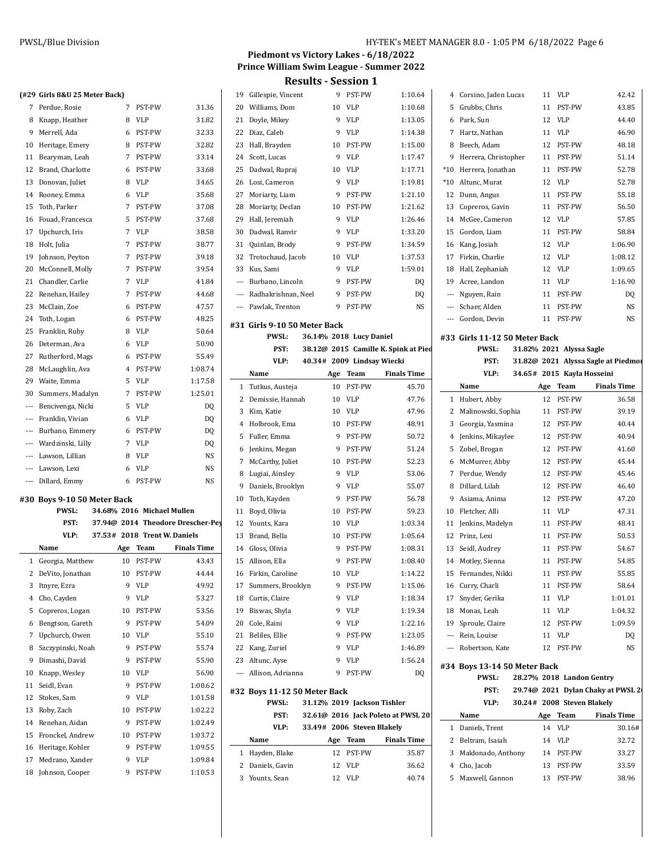|  | (#29 Girls 8&U 25 Meter Back) |  |
|--|-------------------------------|--|
|  |                               |  |

| <b>#47</b>               | <b>UILIS ONU ZJ METEL DALKJ</b> |   |               |           |
|--------------------------|---------------------------------|---|---------------|-----------|
| 7                        | Perdue, Rosie                   | 7 | <b>PST-PW</b> | 31.36     |
| 8                        | Knapp, Heather                  | 8 | <b>VLP</b>    | 31.82     |
| 9                        | Merrell, Ada                    | 6 | PST-PW        | 32.33     |
| 10                       | Heritage, Emery                 | 8 | PST-PW        | 32.82     |
| 11                       | Bearyman, Leah                  | 7 | PST-PW        | 33.14     |
| 12                       | Brand, Charlotte                | 6 | PST-PW        | 33.68     |
| 13                       | Donovan, Juliet                 | 8 | VLP           | 34.65     |
| 14                       | Rooney, Emma                    | 6 | VLP           | 35.68     |
| 15                       | Toth, Parker                    | 7 | PST-PW        | 37.08     |
| 16                       | Fouad, Francesca                | 5 | PST-PW        | 37.68     |
| 17                       | Upchurch, Iris                  | 7 | VLP           | 38.58     |
| 18                       | Holt, Julia                     | 7 | PST-PW        | 38.77     |
| 19                       | Johnson, Peyton                 | 7 | PST-PW        | 39.18     |
| 20                       | McConnell, Molly                | 7 | PST-PW        | 39.54     |
| 21                       | Chandler, Carlie                | 7 | <b>VLP</b>    | 41.84     |
| 22                       | Renehan, Hailey                 | 7 | PST-PW        | 44.68     |
| 23                       | McClain, Zoe                    | 6 | PST-PW        | 47.57     |
| 24                       | Toth, Logan                     | 6 | PST-PW        | 48.25     |
| 25                       | Franklin, Ruby                  | 8 | <b>VLP</b>    | 50.64     |
| 26                       | Determan, Ava                   | 6 | VLP           | 50.90     |
| 27                       | Rutherford, Mags                | 6 | PST-PW        | 55.49     |
| 28                       | McLaughlin, Ava                 | 4 | PST-PW        | 1:08.74   |
| 29                       | Waite, Emma                     | 5 | VLP           | 1:17.58   |
| 30                       | Summers, Madalyn                | 7 | PST-PW        | 1:25.01   |
| ---                      | Bencivenga, Nicki               | 5 | VLP           | DQ        |
| $\overline{\phantom{a}}$ | Franklin, Vivian                | 6 | VLP           | DQ        |
| $\cdots$                 | Burbano, Emmery                 | 6 | PST-PW        | DQ        |
|                          | --- Wardzinski, Lilly           | 7 | VLP           | DQ        |
|                          | --- Lawson, Lillian             | 8 | VLP           | <b>NS</b> |
|                          | --- Lawson, Lexi                | 6 | <b>VLP</b>    | <b>NS</b> |
| ---                      | Dillard, Emmy                   | 6 | PST-PW        | NS        |
|                          |                                 |   |               |           |

## **#30 Boys 9-10 50 Meter Back**

|    | <b>PWSL:</b>      |     | 34.68% 2016 Michael Mullen   |                                   | 11    | B <sub>0</sub> |
|----|-------------------|-----|------------------------------|-----------------------------------|-------|----------------|
|    | PST:              |     |                              | 37.94@ 2014 Theodore Drescher-Pey | 12    | Yo             |
|    | VLP:              |     | 37.53# 2018 Trent W. Daniels |                                   | 13    | B <sub>1</sub> |
|    | Name              | Age | Team                         | <b>Finals Time</b>                | 14    | Gl             |
| 1  | Georgia, Matthew  | 10  | PST-PW                       | 43.43                             | 15    | Al             |
| 2  | DeVito, Jonathan  | 10  | PST-PW                       | 44.44                             | 16    | Fi             |
| 3  | Itnyre, Ezra      | 9   | <b>VLP</b>                   | 49.92                             | 17    | Sι             |
| 4  | Cho, Cayden       | 9   | <b>VLP</b>                   | 53.27                             | 18    | Cι             |
| 5  | Copreros, Logan   | 10  | PST-PW                       | 53.56                             | 19    | Bi             |
| 6  | Bengtson, Gareth  | 9   | PST-PW                       | 54.09                             | 20    | Co             |
| 7  | Upchurch, Owen    | 10  | <b>VLP</b>                   | 55.10                             | 21    | B <sub>6</sub> |
| 8  | Szczypinski, Noah | 9   | PST-PW                       | 55.74                             | 22    | K              |
| 9  | Dimashi, David    | 9   | PST-PW                       | 55.90                             | 23    | Al             |
| 10 | Knapp, Wesley     | 10  | <b>VLP</b>                   | 56.90                             |       | Al             |
| 11 | Seidl, Evan       | 9   | PST-PW                       | 1:00.62                           | #32 B |                |
| 12 | Stokes, Sam       | 9   | <b>VLP</b>                   | 1:01.58                           |       |                |
| 13 | Roby, Zach        | 10  | PST-PW                       | 1:02.22                           |       |                |
| 14 | Renehan, Aidan    | 9   | PST-PW                       | 1:02.49                           |       |                |
| 15 | Fronckel, Andrew  | 10  | PST-PW                       | 1:03.72                           |       | N.             |
| 16 | Heritage, Kohler  | 9   | PST-PW                       | 1:09.55                           | 1     | H              |
| 17 | Medrano, Xander   | 9   | VLP                          | 1:09.84                           | 2     | D.             |
| 18 | Johnson, Cooper   | 9   | PST-PW                       | 1:10.53                           | C.    | $V_{c}$        |

# **Piedmont vs Victory Lakes - 6/18/2022 Prince William Swim League - Summer 2022 Results - Session 1**

| 19<br>20                 |                                              |     |                            |                                      |                          |
|--------------------------|----------------------------------------------|-----|----------------------------|--------------------------------------|--------------------------|
|                          | Gillespie, Vincent                           | 9   | PST-PW                     | 1:10.64                              | 4                        |
|                          | Williams, Dom                                | 10  | <b>VLP</b>                 | 1:10.68                              | 5                        |
| 21                       | Doyle, Mikey                                 | 9   | <b>VLP</b>                 | 1:13.05                              | 6                        |
| 22                       | Diaz, Caleb                                  | 9   | <b>VLP</b>                 | 1:14.38                              | 7                        |
| 23                       | Hall, Brayden                                | 10  | PST-PW                     | 1:15.00                              | 8                        |
| 24                       | Scott, Lucas                                 | 9   | <b>VLP</b>                 | 1:17.47                              | 9                        |
| 25                       | Dadwal, Rupraj                               | 10  | <b>VLP</b>                 | 1:17.71                              | $*10$                    |
| 26                       | Losi, Cameron                                | 9   | <b>VLP</b>                 | 1:19.81                              | $*10$                    |
| 27                       | Moriarty, Liam                               | 9   | PST-PW                     | 1:21.10                              | 12                       |
| 28                       | Moriarty, Declan                             | 10  | PST-PW                     | 1:21.62                              | 13                       |
| 29                       | Hall, Jeremiah                               | 9   | <b>VLP</b>                 | 1:26.46                              | 14                       |
| 30                       | Dadwal, Ranvir                               | 9   | <b>VLP</b>                 | 1:33.20                              | 15                       |
| 31                       | Quinlan, Brody                               | 9   | PST-PW                     | 1:34.59                              | 16                       |
| 32                       | Trotochaud, Jacob                            | 10  | <b>VLP</b>                 | 1:37.53                              | 17                       |
| 33                       | Kus, Sami                                    | 9   | <b>VLP</b>                 | 1:59.01                              | 18                       |
| $\overline{\phantom{a}}$ | Burbano, Lincoln                             | 9   | PST-PW                     | DQ                                   | 19                       |
| $\overline{\phantom{a}}$ | Radhakrishnan, Neel                          | 9   | PST-PW                     | DQ                                   |                          |
| $---$                    | Pawlak, Trenton                              | 9   | PST-PW                     | <b>NS</b>                            | $\overline{\phantom{a}}$ |
|                          |                                              |     |                            |                                      | ---                      |
|                          | #31 Girls 9-10 50 Meter Back<br><b>PWSL:</b> |     | 36.14% 2018 Lucy Daniel    |                                      |                          |
|                          |                                              |     |                            |                                      | #33                      |
|                          | PST:                                         |     |                            | 38.12@ 2015 Camille K. Spink at Pied |                          |
|                          | VLP:                                         |     | 40.34# 2009 Lindsay Wiecki |                                      |                          |
|                          | Name                                         | Age | Team                       | <b>Finals Time</b>                   |                          |
| 1                        | Tutkus, Austeja                              | 10  | PST-PW                     | 45.70                                |                          |
| 2                        | Demissie, Hannah                             | 10  | VLP                        | 47.76                                | 1                        |
| 3                        | Kim, Katie                                   | 10  | <b>VLP</b>                 | 47.96                                | 2                        |
| 4                        | Holbrook, Ema                                | 10  | PST-PW                     | 48.91                                | 3                        |
| 5                        | Fuller, Emma                                 | 9   | PST-PW                     | 50.72                                | $\overline{4}$           |
| 6                        | Jenkins, Megan                               | 9   | PST-PW                     | 51.24                                | 5                        |
| 7                        | McCarthy, Juliet                             | 10  | PST-PW                     | 52.23                                | 6                        |
| 8                        | Lugiai, Ainsley                              | 9   | <b>VLP</b>                 | 53.06                                | 7                        |
| 9                        | Daniels, Brooklyn                            | 9   | <b>VLP</b>                 | 55.07                                | 8                        |
|                          |                                              |     |                            |                                      |                          |
| 10                       | Toth, Kayden                                 | 9   | PST-PW                     | 56.78                                | 9                        |
| 11                       | Boyd, Olivia                                 | 10  | PST-PW                     | 59.23                                | 10                       |
| 12                       | Younts, Kara                                 | 10  | <b>VLP</b>                 | 1:03.34                              | 11                       |
| 13                       | Brand, Bella                                 | 10  | PST-PW                     | 1:05.64                              | 12                       |
| 14                       | Gloss, Olivia                                | 9   | PST-PW                     | 1:08.31                              | 13                       |
| 15                       | Allison, Ella                                | 9   | PST-PW                     | 1:08.40                              | 14                       |
|                          | 16 Firkin, Caroline                          |     | 10 VLP                     | 1:14.22                              | 15                       |
| 17                       | Summers, Brooklyn                            | 9   | PST-PW                     | 1:15.06                              | 16                       |
| 18                       | Curtis, Claire                               | 9   | VLP                        | 1:18.34                              | 17                       |
| 19                       | Biswas, Shyla                                | 9   | VLP                        | 1:19.34                              | 18                       |
| 20                       | Cole, Raini                                  | 9   | VLP                        | 1:22.16                              | 19                       |
| 21                       | Beliles, Ellie                               | 9   | PST-PW                     | 1:23.05                              | ---                      |
| 22                       | Kang, Zuriel                                 | 9   | VLP                        | 1:46.89                              | ---                      |
| 23                       | Altunc, Ayse                                 | 9   | VLP                        | 1:56.24                              | #34                      |
| $\sim$                   | Allison, Adrianna                            | 9   | PST-PW                     | DQ                                   |                          |
|                          | #32 Boys 11-12 50 Meter Back                 |     |                            |                                      |                          |
|                          | <b>PWSL:</b>                                 |     |                            | 31.12% 2019 Jackson Tishler          |                          |
|                          | PST:                                         |     |                            | 32.61@ 2016 Jack Poleto at PWSL 201  |                          |
|                          | VLP:                                         |     | 33.49# 2006 Steven Blakely |                                      | 1                        |
|                          | Name                                         |     | Age Team                   | <b>Finals Time</b>                   | 2                        |
| 1                        | Hayden, Blake                                | 12  | PST-PW                     | 35.87                                | 3                        |
| 2                        | Daniels, Gavin                               | 12  |                            | 36.62                                | 4                        |
| 3                        | Younts, Sean                                 | 12  | VLP<br>VLP                 | 40.74                                | 5                        |

| 4     | Corsino, Jaden Lucas                  | 11  | <b>VLP</b>               | 42.42                               |
|-------|---------------------------------------|-----|--------------------------|-------------------------------------|
| 5     | Grubbs, Chris                         | 11  | PST-PW                   | 43.85                               |
| 6     | Park, Sun                             | 12  | VLP                      | 44.40                               |
| 7     | Hartz, Nathan                         | 11  | <b>VLP</b>               | 46.90                               |
| 8     | Beech, Adam                           | 12  | PST-PW                   | 48.18                               |
| 9     | Herrera, Christopher                  | 11  | PST-PW                   | 51.14                               |
| $*10$ | Herrera, Jonathan                     | 11  | PST-PW                   | 52.78                               |
| $*10$ | Altunc, Murat                         | 12  | VLP                      | 52.78                               |
| 12    | Dunn, Angus                           | 11  | PST-PW                   | 55.18                               |
| 13    | Copreros, Gavin                       | 11  | PST-PW                   | 56.50                               |
| 14    | McGee, Cameron                        | 12  | <b>VLP</b>               | 57.85                               |
| 15    | Gordon, Liam                          | 11  | PST-PW                   | 58.84                               |
| 16    | Kang, Josiah                          | 12  | <b>VLP</b>               | 1:06.90                             |
| 17    | Firkin, Charlie                       | 12  | <b>VLP</b>               | 1:08.12                             |
|       | 18 Hall, Zephaniah                    | 12  | VLP                      | 1:09.65                             |
|       | 19 Acree, Landon                      | 11  | <b>VLP</b>               | 1:16.90                             |
|       | --- Nguyen, Rain                      | 11  | PST-PW                   | DQ                                  |
|       | --- Schaer, Alden                     | 11  | PST-PW                   | NS                                  |
|       | --- Gordon, Devin                     | 11  | PST-PW                   | NS                                  |
|       |                                       |     |                          |                                     |
|       | #33 Girls 11-12 50 Meter Back         |     |                          |                                     |
|       | <b>PWSL:</b>                          |     | 31.82% 2021 Alyssa Sagle |                                     |
|       | PST:                                  |     |                          | 31.82@ 2021 Alyssa Sagle at Piedmor |
|       | VLP:                                  |     |                          | 34.65# 2015 Kayla Hosseini          |
|       | Name                                  | Age | Team                     | <b>Finals Time</b>                  |
|       | 1 Hubert, Abby                        | 12  | PST-PW                   | 36.58                               |
|       | 2 Malinowski, Sophia                  | 11  | PST-PW                   | 39.19                               |
| 3     | Georgia, Yasmina                      | 12  | PST-PW                   | 40.44                               |
| 4     | Jenkins, Mikaylee                     | 12  | PST-PW                   | 40.94                               |
| 5     | Zobel, Brogan                         | 12  | PST-PW                   | 41.60                               |
| 6     | McMurrer, Abby                        | 12  | PST-PW                   | 45.44                               |
| 7     | Perdue, Wendy                         | 12  | PST-PW                   | 45.46                               |
| 8     | Dillard, Lilah                        | 12  | PST-PW                   | 46.40                               |
| 9     | Asiama, Anima                         | 12  | PST-PW                   | 47.20                               |
| 10    | Fletcher, Alli                        | 11  | <b>VLP</b>               | 47.31                               |
| 11    | Jenkins, Madelyn                      | 11  | PST-PW                   | 48.41                               |
| 12    | Prinz, Lexi                           | 11  | PST-PW                   | 50.53                               |
| 13    | Seidl, Audrey                         | 11  | PST-PW                   | 54.67                               |
| 14    | Motley, Sienna                        | 11  | PST-PW                   | 54.85                               |
| 15    | Fernandes, Nikki                      |     | 11 PST-PW                | 55.85                               |
| 16    | Curry, Charli                         | 11  | PST-PW                   | 58.64                               |
| 17    | Snyder, Gerika                        | 11  | VLP                      | 1:01.01                             |
|       | 18 Monas, Leah                        | 11  | VLP                      | 1:04.32                             |
|       | 19 Sproule, Claire                    | 12  | PST-PW                   | 1:09.59                             |
|       | --- Rein, Louise                      | 11  | VLP                      | DO.                                 |
|       | --- Robertson, Kate                   | 12  | PST-PW                   | NS                                  |
|       |                                       |     |                          |                                     |
|       | #34 Boys 13-14 50 Meter Back<br>PWSL: |     |                          | 28.27% 2018 Landon Gentry           |
|       | PST:                                  |     |                          | 29.74@ 2021 Dylan Chaky at PWSL 20  |
|       | VLP:                                  |     |                          | 30.24# 2008 Steven Blakely          |
|       |                                       |     |                          |                                     |
|       |                                       |     |                          |                                     |
| 1     | Name<br>Daniele Trent                 |     | Age Team<br>$14$ VI P    | <b>Finals Time</b><br>3016#         |

|   | 1 Daniels, Trent     |    | 14 VLP        | 30.16# |
|---|----------------------|----|---------------|--------|
|   | 2 Beltram, Isaiah    |    | 14 VLP        | 32.72  |
|   | 3 Maldonado, Anthony |    | 14 PST-PW     | 33.27  |
|   | 4 Cho, Jacob         |    | 13 PST-PW     | 33.59  |
| 5 | Maxwell, Gannon      | 13 | <b>PST-PW</b> | 38.96  |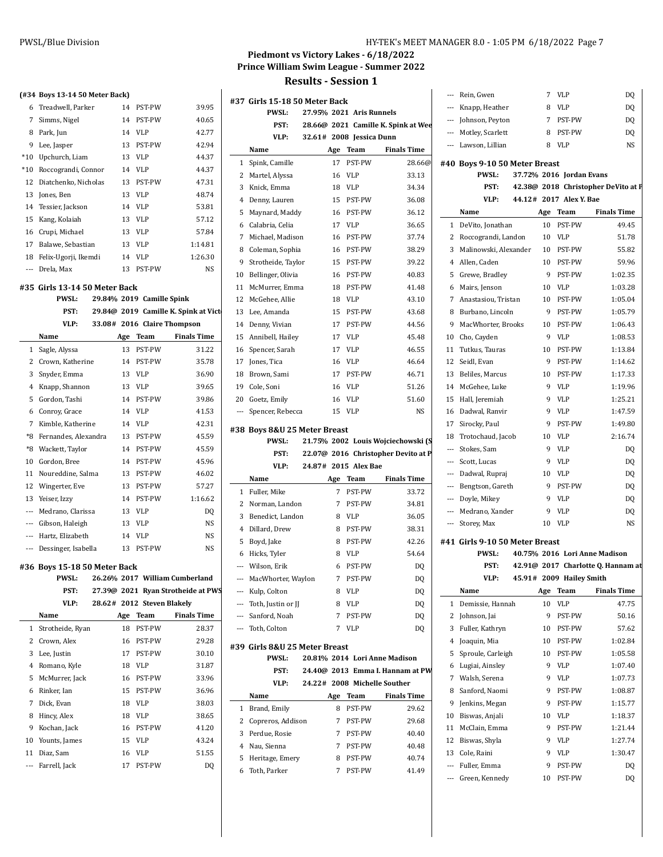| HY-TEK's MEET MANAGER 8.0 - 1:05 PM 6/18/2022 Page 7 |  |  |
|------------------------------------------------------|--|--|
|------------------------------------------------------|--|--|

# **Piedmont vs Victory Lakes - 6/18/2022 Prince William Swim League - Summer 2022**

|                          | (#34 Boys 13-14 50 Meter Back) |     |                           |                                      |                          |                                |
|--------------------------|--------------------------------|-----|---------------------------|--------------------------------------|--------------------------|--------------------------------|
| 6                        | Treadwell, Parker              | 14  | PST-PW                    | 39.95                                | #37 (                    |                                |
| 7                        | Simms, Nigel                   | 14  | PST-PW                    | 40.65                                |                          |                                |
| 8                        | Park, Jun                      | 14  | VLP                       | 42.77                                |                          |                                |
| 9                        | Lee, Jasper                    | 13  | PST-PW                    | 42.94                                |                          |                                |
| $*10$                    | Upchurch, Liam                 | 13  | <b>VLP</b>                | 44.37                                |                          | I                              |
| $*10$                    | Roccograndi, Connor            | 14  | <b>VLP</b>                | 44.37                                | 1                        | Š                              |
| 12                       | Diatchenko, Nicholas           | 13  | PST-PW                    | 47.31                                | 2                        | I                              |
| 13                       | Jones, Ben                     | 13  | <b>VLP</b>                | 48.74                                | 3                        | $\mathbf{I}$                   |
| 14                       |                                |     | <b>VLP</b>                |                                      | 4                        | $\mathbf I$                    |
|                          | Tessier, Jackson               | 14  |                           | 53.81                                | 5                        | $\mathbf{l}$                   |
| 15                       | Kang, Kolaiah                  | 13  | VLP                       | 57.12                                | 6                        | $\overline{\phantom{a}}$       |
| 16                       | Crupi, Michael                 | 13  | <b>VLP</b>                | 57.84                                | 7                        | I                              |
| 17                       | Balawe, Sebastian              | 13  | VLP                       | 1:14.81                              | 8                        | $\overline{\phantom{a}}$       |
| 18                       | Felix-Ugorji, Ikemdi           | 14  | VLP                       | 1:26.30                              | 9                        | Š                              |
|                          | --- Drela, Max                 |     | 13 PST-PW                 | NS                                   | 10                       | I                              |
|                          | #35 Girls 13-14 50 Meter Back  |     |                           |                                      | 11                       | ľ                              |
|                          | PWSL:                          |     | 29.84% 2019 Camille Spink |                                      | 12                       | I                              |
|                          | PST:                           |     |                           | 29.84@ 2019 Camille K. Spink at Vict | 13                       | $\mathbf I$                    |
|                          | VLP:                           |     |                           | 33.08# 2016 Claire Thompson          | 14                       | $\mathbf I$                    |
|                          | Name                           | Age | Team                      | <b>Finals Time</b>                   | 15                       | $\overline{t}$                 |
| 1                        | Sagle, Alyssa                  | 13  | PST-PW                    | 31.22                                | 16                       | š                              |
| $\overline{2}$           | Crown, Katherine               | 14  | PST-PW                    | 35.78                                | 17                       | J                              |
| 3                        | Snyder, Emma                   | 13  | <b>VLP</b>                | 36.90                                | 18                       | $\mathbf I$                    |
| 4                        | Knapp, Shannon                 | 13  | VLP                       | 39.65                                | 19 0                     |                                |
| 5                        | Gordon, Tashi                  |     | 14 PST-PW                 | 39.86                                | 20 <sub>0</sub>          |                                |
|                          | 6 Conroy, Grace                | 14  | <b>VLP</b>                | 41.53                                | $\overline{\phantom{a}}$ | š                              |
| 7                        | Kimble, Katherine              | 14  | <b>VLP</b>                | 42.31                                |                          |                                |
| $^*8$                    | Fernandes, Alexandra           | 13  | PST-PW                    | 45.59                                | #38 I                    |                                |
| *8                       | Wackett, Taylor                | 14  | PST-PW                    | 45.59                                |                          |                                |
| 10                       | Gordon, Bree                   | 14  | PST-PW                    | 45.96                                |                          |                                |
| 11                       | Noureddine, Salma              | 13  | PST-PW                    | 46.02                                |                          |                                |
| 12                       | Wingerter, Eve                 | 13  | PST-PW                    | 57.27                                |                          | I                              |
| 13                       | Yeiser, Izzy                   | 14  | PST-PW                    | 1:16.62                              | 1                        | $\mathbf I$                    |
| $\overline{\phantom{a}}$ | Medrano, Clarissa              | 13  | <b>VLP</b>                | DO                                   | 2                        | ľ                              |
|                          | --- Gibson, Haleigh            | 13  | VLP                       | NS                                   | 3                        | $\mathbf{I}$                   |
|                          | --- Hartz, Elizabeth           | 14  | VLP                       | NS                                   | $\overline{4}$           | $\mathbf I$                    |
|                          | --- Dessinger, Isabella        | 13  | PST-PW                    | NS                                   | 5                        | $\mathbf{I}$                   |
|                          |                                |     |                           |                                      | 6                        | $\mathbf{I}$                   |
|                          | #36 Boys 15-18 50 Meter Back   |     |                           |                                      | ---                      | I                              |
|                          | PWSL:                          |     |                           | 26.26% 2017 William Cumberland       | ---                      | I                              |
|                          | PST:                           |     |                           | 27.39@ 2021 Ryan Strotheide at PWS   |                          | I                              |
|                          | VLP:                           |     |                           | 28.62# 2012 Steven Blakely           |                          | ŋ                              |
|                          | Name                           | Age | Team                      | <b>Finals Time</b>                   |                          | š                              |
| 1                        | Strotheide, Ryan               | 18  | PST-PW                    | 28.37                                |                          | ŋ                              |
| $\overline{2}$           | Crown, Alex                    | 16  | PST-PW                    | 29.28                                | #39 (                    |                                |
| 3                        | Lee, Justin                    | 17  | PST-PW                    | 30.10                                |                          |                                |
| 4                        | Romano, Kyle                   | 18  | <b>VLP</b>                | 31.87                                |                          |                                |
| 5                        | McMurrer, Jack                 | 16  | PST-PW                    | 33.96                                |                          |                                |
| 6                        | Rinker, Ian                    | 15  | PST-PW                    | 36.96                                |                          | ľ                              |
| 7                        | Dick, Evan                     | 18  | <b>VLP</b>                | 38.03                                | 1                        | $\begin{array}{c} \end{array}$ |
| 8                        | Hincy, Alex                    | 18  | VLP                       | 38.65                                | 2                        | $\overline{\phantom{a}}$       |
| 9                        | Kochan, Jack                   | 16  | PST-PW                    | 41.20                                | 3                        | $\mathbf I$                    |
| 10                       | Younts, James                  | 15  | VLP                       | 43.24                                | $\overline{4}$           | ľ                              |
| 11                       | Diaz, Sam                      | 16  | VLP                       | 51.55                                | 5                        | $\mathbf{I}$                   |
| ---                      | Farrell, Jack                  | 17  | PST-PW                    | DQ                                   | 6                        | ŋ                              |
|                          |                                |     |                           |                                      |                          |                                |

|                          | #37 Girls 15-18 50 Meter Back |     |                          |                                     | ---                      | Rei               |
|--------------------------|-------------------------------|-----|--------------------------|-------------------------------------|--------------------------|-------------------|
|                          | <b>PWSL:</b>                  |     | 27.95% 2021 Aris Runnels |                                     | $---$                    | Kn                |
|                          | PST:                          |     |                          | 28.66@ 2021 Camille K. Spink at Wee | ---                      | Joh               |
|                          | VLP:                          |     | 32.61# 2008 Jessica Dunn |                                     |                          | Mo                |
|                          | Name                          | Age | Team                     | <b>Finals Time</b>                  |                          | Lay               |
| 1                        | Spink, Camille                | 17  | PST-PW                   | 28.66@                              | #40 Bo                   |                   |
| 2                        | Martel, Alyssa                | 16  | <b>VLP</b>               | 33.13                               |                          |                   |
| 3                        | Knick, Emma                   | 18  | <b>VLP</b>               | 34.34                               |                          |                   |
| 4                        | Denny, Lauren                 | 15  | PST-PW                   | 36.08                               |                          |                   |
| 5                        | Maynard, Maddy                | 16  | PST-PW                   | 36.12                               |                          | Na                |
| 6                        | Calabria, Celia               | 17  | <b>VLP</b>               | 36.65                               | $\mathbf{1}$             | De'               |
| 7                        | Michael, Madison              | 16  | PST-PW                   | 37.74                               | 2                        | Ro                |
| 8                        | Coleman, Sophia               | 16  | PST-PW                   | 38.29                               | 3                        | Ma                |
| 9                        | Strotheide, Taylor            | 15  | PST-PW                   | 39.22                               | $\overline{4}$           | All               |
| 10                       | Bellinger, Olivia             | 16  | PST-PW                   | 40.83                               | 5                        | Gre               |
| 11                       | McMurrer, Emma                | 18  | PST-PW                   | 41.48                               | 6                        | Ma                |
| 12                       | McGehee, Allie                | 18  | <b>VLP</b>               | 43.10                               | 7                        | An                |
| 13                       | Lee, Amanda                   | 15  | PST-PW                   | 43.68                               | 8                        | Bu                |
| 14                       | Denny, Vivian                 | 17  | PST-PW                   | 44.56                               | 9                        | Ma                |
| 15                       | Annibell, Hailey              | 17  | <b>VLP</b>               | 45.48                               | 10                       | Ch                |
| 16                       | Spencer, Sarah                | 17  | <b>VLP</b>               | 46.55                               | 11                       | Tu                |
| 17                       | Jones, Tica                   | 16  | VLP                      | 46.64                               | 12                       | Sei               |
| 18                       | Brown, Sami                   | 17  | PST-PW                   | 46.71                               | 13                       | Bel               |
| 19                       | Cole, Soni                    | 16  | VLP                      | 51.26                               | 14                       | Mc                |
| 20                       | Goetz, Emily                  | 16  | <b>VLP</b>               | 51.60                               | 15                       | Ha                |
| $\overline{\phantom{a}}$ | Spencer, Rebecca              | 15  | VLP                      | NS                                  | 16                       | Da                |
|                          |                               |     |                          |                                     | 17                       | Sir               |
|                          | #38 Boys 8&U 25 Meter Breast  |     |                          |                                     | 18                       | Tro               |
|                          | <b>PWSL:</b>                  |     |                          | 21.75% 2002 Louis Wojciechowski (S  | ---                      | Sto               |
|                          | PST:<br>VLP:                  |     |                          | 22.07@ 2016 Christopher Devito at P | $\overline{\phantom{a}}$ | Sco               |
|                          |                               |     |                          |                                     |                          |                   |
|                          |                               |     | 24.87# 2015 Alex Bae     |                                     | ---                      | Da                |
|                          | Name                          | Age | Team                     | <b>Finals Time</b>                  |                          | Be                |
| 1                        | Fuller, Mike                  | 7   | PST-PW                   | 33.72                               | $\overline{\phantom{a}}$ | Do                |
| 2                        | Norman, Landon                | 7   | PST-PW                   | 34.81                               | ---                      | Me                |
| 3                        | Benedict, Landon              | 8   | VLP                      | 36.05                               | ---                      | Sto               |
| 4                        | Dillard, Drew                 | 8   | PST-PW                   | 38.31                               |                          |                   |
| 5                        | Boyd, Jake                    | 8   | PST-PW                   | 42.26                               | #41 Giı                  |                   |
| 6                        | Hicks, Tyler                  | 8   | VLP                      | 54.64                               |                          |                   |
| $\overline{\phantom{a}}$ | Wilson, Erik                  | 6   | PST-PW                   | DQ                                  |                          |                   |
|                          | --- MacWhorter, Waylon        | 7   | PST-PW                   | DQ                                  |                          |                   |
| $\cdots$                 | Kulp, Colton                  | 8   | VLP                      | DQ                                  |                          | Na                |
|                          | --- Toth, Justin or JJ        | 8   | VLP                      | DQ                                  | 1                        | De:               |
|                          | --- Sanford, Noah             | 7   | PST-PW                   | DQ                                  | 2                        | Joh               |
|                          | --- Toth, Colton              | 7   | VLP                      | DQ                                  | 3                        | Ful               |
|                          | #39 Girls 8&U 25 Meter Breast |     |                          |                                     | 4                        | Joa               |
|                          | <b>PWSL:</b>                  |     |                          | 20.81% 2014 Lori Anne Madison       | 5                        | Spi               |
|                          | PST:                          |     |                          | 24.40@ 2013 Emma I. Hannam at PW    | 6<br>7                   | Lu                |
|                          | VLP:                          |     |                          | 24.22# 2008 Michelle Souther        |                          | Wa                |
|                          | Name                          | Age | <b>Team</b>              | <b>Finals Time</b>                  | 8<br>9                   | Sar               |
| 1                        | Brand, Emily                  | 8   | PST-PW                   | 29.62                               | 10                       | Jen               |
| 2                        | Copreros, Addison             | 7   | PST-PW                   | 29.68                               | 11                       | Bis<br>Mc         |
| 3                        | Perdue, Rosie                 | 7   | PST-PW                   | 40.40                               | 12                       |                   |
| 4                        | Nau, Sienna                   | 7   | PST-PW                   | 40.48                               | 13                       | <b>Bis</b><br>Col |
| 5                        | Heritage, Emery               | 8   | PST-PW                   | 40.74                               |                          | Ful               |
| 6                        | Toth, Parker                  | 7   | PST-PW                   | 41.49                               |                          | Gr                |

|    |                          | --- Rein, Gwen                 |        | $7^{\circ}$ | <b>VLP</b>                   | DQ                                  |
|----|--------------------------|--------------------------------|--------|-------------|------------------------------|-------------------------------------|
|    |                          | --- Knapp, Heather             |        | 8           | VLP                          | DQ                                  |
| ٠e |                          | --- Johnson, Peyton            |        |             | 7 PST-PW                     | DQ                                  |
|    |                          | --- Motley, Scarlett           |        |             | 8 PST-PW                     | DQ                                  |
|    |                          | --- Lawson, Lillian            |        |             | 8 VLP                        | NS                                  |
|    |                          | #40 Boys 9-10 50 Meter Breast  |        |             |                              |                                     |
|    |                          | PWSL:                          |        |             | 37.72% 2016 Jordan Evans     |                                     |
|    |                          | PST:                           |        |             |                              | 42.38@ 2018 Christopher DeVito at P |
|    |                          |                                |        |             | VLP: 44.12# 2017 Alex Y. Bae |                                     |
|    |                          | Name                           |        |             | Age Team                     | <b>Finals Time</b>                  |
|    |                          | 1 DeVito, Jonathan             |        |             | 10 PST-PW                    | 49.45                               |
|    |                          | 2 Roccograndi, Landon          |        |             | 10 VLP                       | 51.78                               |
|    |                          | 3 Malinowski, Alexander        |        |             | 10 PST-PW                    | 55.82                               |
|    |                          | 4 Allen, Caden                 |        |             | 10 PST-PW                    | 59.96                               |
|    |                          | 5 Grewe, Bradley               |        |             | 9 PST-PW                     | 1:02.35                             |
|    |                          | 6 Mairs, Jenson                |        |             | 10 VLP                       | 1:03.28                             |
|    |                          | 7 Anastasiou, Tristan          |        |             | 10 PST-PW                    | 1:05.04                             |
|    |                          | 8 Burbano, Lincoln             |        |             | 9 PST-PW                     | 1:05.79                             |
|    |                          | 9 MacWhorter, Brooks           |        |             | 10 PST-PW                    | 1:06.43                             |
|    |                          | 10 Cho, Cayden                 |        |             | 9 VLP                        | 1:08.53                             |
|    |                          | 11 Tutkus, Tauras              |        |             | 10 PST-PW                    | 1:13.84                             |
|    |                          | 12 Seidl, Evan                 |        |             | 9 PST-PW                     | 1:14.62                             |
|    |                          | 13 Beliles, Marcus             |        |             | 10 PST-PW                    | 1:17.33                             |
|    |                          | 14 McGehee, Luke               |        |             | 9 VLP                        | 1:19.96                             |
|    |                          | 15 Hall, Jeremiah              |        |             | 9 VLP                        | 1:25.21                             |
|    |                          | 16 Dadwal, Ranvir              |        |             | 9 VLP                        | 1:47.59                             |
|    |                          | 17 Sirocky, Paul               |        |             | 9 PST-PW                     | 1:49.80                             |
|    |                          | 18 Trotochaud, Jacob           |        | 10 VLP      |                              | 2:16.74                             |
|    |                          | --- Stokes, Sam                |        | 9           | <b>VLP</b>                   | DQ                                  |
|    |                          | --- Scott, Lucas               |        |             | 9 VLP                        | DQ                                  |
|    |                          | --- Dadwal, Rupraj             |        | 10 VLP      |                              | DQ                                  |
|    |                          | --- Bengtson, Gareth           |        |             | 9 PST-PW                     | DQ                                  |
|    |                          | --- Doyle, Mikey               |        |             | 9 VLP                        | DQ                                  |
|    |                          | --- Medrano, Xander            |        | 9           | <b>VLP</b>                   | DQ                                  |
|    |                          | --- Storey, Max                |        | 10          | <b>VLP</b>                   | NS                                  |
|    |                          |                                |        |             |                              |                                     |
|    |                          | #41 Girls 9-10 50 Meter Breast |        |             |                              |                                     |
|    |                          | PWSL:                          |        |             |                              | 40.75% 2016 Lori Anne Madison       |
|    |                          | PST:<br>VLP:                   | 45.91# |             | 2009 Hailey Smith            | 42.91@ 2017 Charlotte Q. Hannam at  |
|    |                          | Name                           |        | Age         | Team                         | <b>Finals Time</b>                  |
|    | 1                        | Demissie, Hannah               |        | 10          | VLP                          | 47.75                               |
|    |                          | Johnson, Jai                   |        | 9           |                              |                                     |
|    | 2                        |                                |        | 10          | PST-PW                       | 50.16                               |
|    | 3                        | Fuller, Kathryn                |        |             | PST-PW                       | 57.62                               |
|    |                          | 4 Joaquin, Mia                 |        | 10          | PST-PW                       | 1:02.84                             |
|    | 5                        | Sproule, Carleigh              |        | 10          | PST-PW                       | 1:05.58                             |
|    |                          | 6 Lugiai, Ainsley              |        | 9           | VLP                          | 1:07.40                             |
|    |                          | 7 Walsh, Serena                |        | 9           | VLP                          | 1:07.73                             |
|    | 8                        | Sanford, Naomi                 |        | 9           | PST-PW                       | 1:08.87                             |
|    | 9                        | Jenkins, Megan                 |        | 9           | PST-PW                       | 1:15.77                             |
|    | 10                       | Biswas, Anjali                 |        | 10          | VLP                          | 1:18.37                             |
|    | 11                       | McClain, Emma                  |        | 9           | PST-PW                       | 1:21.44                             |
|    | 12                       | Biswas, Shyla                  |        | 9           | VLP                          | 1:27.74                             |
|    | 13                       | Cole, Raini                    |        | 9           | VLP                          | 1:30.47                             |
|    | $\overline{\phantom{a}}$ | Fuller, Emma                   |        | 9           | PST-PW                       | DQ                                  |
|    |                          | Green, Kennedy                 |        | 10          | PST-PW                       | DQ                                  |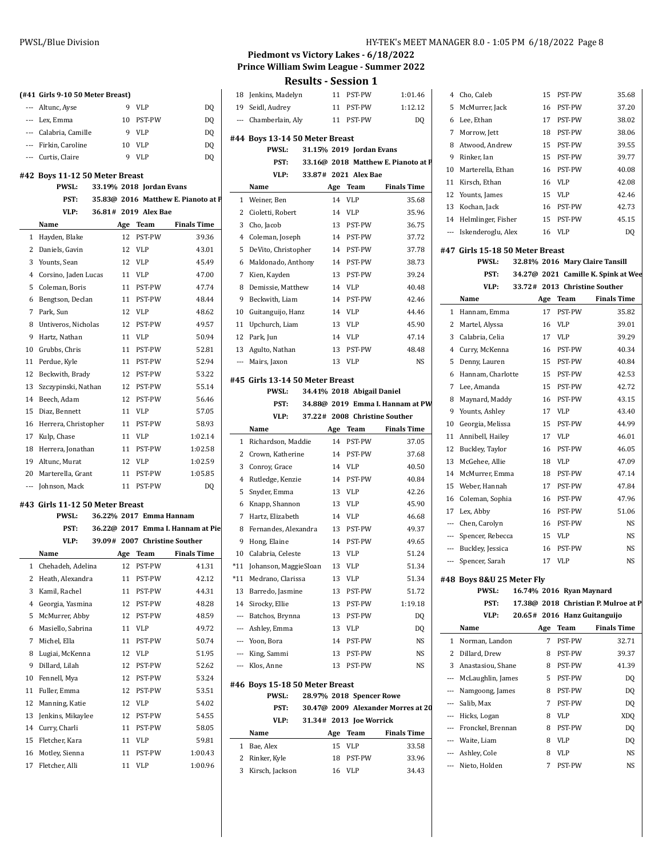# **(#41 Girls 9-10 50 Meter Breast)**

| --- Altunc, Ayse      |    | - VLP  | DQ |
|-----------------------|----|--------|----|
| --- Lex, Emma         | 10 | PST-PW | DQ |
| --- Calabria, Camille |    | VLP    | DQ |
| --- Firkin, Caroline  | 10 | VLP    | DQ |
| Curtic Claire         |    | Q VID  | חח |

#### **#42 Boys 11-12 50 Meter Breast**

| --- | Curtis, Claire                | 9   | <b>VLP</b>               | D <sub>0</sub>                      |                 |                         |
|-----|-------------------------------|-----|--------------------------|-------------------------------------|-----------------|-------------------------|
|     | 42 Boys 11-12 50 Meter Breast |     |                          |                                     |                 |                         |
|     | <b>PWSL:</b>                  |     | 33.19% 2018 Jordan Evans |                                     |                 | ľ                       |
|     | PST:                          |     |                          | 35.83@ 2016 Matthew E. Pianoto at F | 1               | J                       |
|     | VLP:                          |     | 36.81# 2019 Alex Bae     |                                     | 2 <sup>1</sup>  |                         |
|     | Name                          | Age | Team                     | <b>Finals Time</b>                  | 3 <sup>1</sup>  |                         |
| 1   | Hayden, Blake                 | 12  | PST-PW                   | 39.36                               | $\overline{4}$  | $\overline{\mathbf{a}}$ |
| 2   | Daniels, Gavin                | 12  | <b>VLP</b>               | 43.01                               | 5 <sub>1</sub>  |                         |
| 3   | Younts, Sean                  | 12  | <b>VLP</b>               | 45.49                               | 6               | - I                     |
| 4   | Corsino, Jaden Lucas          | 11  | <b>VLP</b>               | 47.00                               | 7 I             |                         |
| 5   | Coleman, Boris                | 11  | PST-PW                   | 47.74                               | 8               | $\blacksquare$          |
| 6   | Bengtson, Declan              | 11  | PST-PW                   | 48.44                               | 9.              | $\mathbf{I}$            |
| 7   | Park, Sun                     | 12  | <b>VLP</b>               | 48.62                               | $10-10$         |                         |
| 8   | Untiveros, Nicholas           | 12  | PST-PW                   | 49.57                               | 11              | ι                       |
| 9   | Hartz, Nathan                 | 11  | <b>VLP</b>               | 50.94                               | 12 I            |                         |
| 10  | Grubbs, Chris                 | 11  | PST-PW                   | 52.81                               | 13 <sub>l</sub> |                         |
| 11  | Perdue, Kyle                  | 11  | PST-PW                   | 52.94                               | --- 1           |                         |
| 12  | Beckwith, Brady               | 12  | PST-PW                   | 53.22                               | #45 0           |                         |
| 13  | Szczypinski, Nathan           | 12  | PST-PW                   | 55.14                               |                 |                         |
| 14  | Beech, Adam                   | 12  | PST-PW                   | 56.46                               |                 |                         |
| 15  | Diaz, Bennett                 | 11  | <b>VLP</b>               | 57.05                               |                 |                         |
| 16  | Herrera, Christopher          | 11  | PST-PW                   | 58.93                               |                 | ľ                       |
| 17  | Kulp, Chase                   | 11  | <b>VLP</b>               | 1:02.14                             | $\mathbf{1}$    | I                       |
| 18  | Herrera, Jonathan             | 11  | PST-PW                   | 1:02.58                             | $\overline{2}$  | $\overline{\mathbf{a}}$ |
| 19  | Altunc, Murat                 | 12  | <b>VLP</b>               | 1:02.59                             | 3 <sup>1</sup>  |                         |
| 20  | Marterella, Grant             | 11  | PST-PW                   | 1:05.85                             | 4 I             |                         |
| --- | Johnson, Mack                 | 11  | PST-PW                   | D <sub>0</sub>                      |                 |                         |

#### **#43 Girls 11-12 50 Meter Breast**

 $\overline{a}$ 

|                | <b>PWSL:</b>      |     | 36.22% 2017 Emma Hannam       |                                   | 7     | $\mathbf{H}$   |
|----------------|-------------------|-----|-------------------------------|-----------------------------------|-------|----------------|
|                | PST:              |     |                               | 36.22@ 2017 Emma I. Hannam at Pie | 8     | F              |
|                | VLP:              |     | 39.09# 2007 Christine Souther |                                   | 9     | $\mathbf{H}$   |
|                | Name              | Age | Team                          | <b>Finals Time</b>                | 10    | C              |
| 1              | Chehadeh, Adelina | 12  | PST-PW                        | 41.31                             | $*11$ | I              |
| 2              | Heath, Alexandra  | 11  | PST-PW                        | 42.12                             | $*11$ | N              |
| 3              | Kamil, Rachel     | 11  | PST-PW                        | 44.31                             | 13    | B              |
| $\overline{4}$ | Georgia, Yasmina  | 12  | PST-PW                        | 48.28                             | 14 S  |                |
| 5              | McMurrer, Abby    | 12  | PST-PW                        | 48.59                             |       | B              |
| 6              | Masiello, Sabrina | 11  | <b>VLP</b>                    | 49.72                             |       | A              |
| 7              | Michel, Ella      | 11  | PST-PW                        | 50.74                             |       | Y              |
| 8              | Lugiai, McKenna   | 12  | <b>VLP</b>                    | 51.95                             |       | К              |
| 9              | Dillard, Lilah    | 12  | PST-PW                        | 52.62                             |       | K              |
| 10             | Fennell, Mya      | 12  | PST-PW                        | 53.24                             | #46 B |                |
| 11             | Fuller, Emma      | 12  | PST-PW                        | 53.51                             |       |                |
| 12             | Manning, Katie    | 12  | <b>VLP</b>                    | 54.02                             |       |                |
| 13             | Jenkins, Mikaylee | 12  | PST-PW                        | 54.55                             |       |                |
| 14             | Curry, Charli     | 11  | PST-PW                        | 58.05                             |       | N              |
| 15             | Fletcher, Kara    | 11  | <b>VLP</b>                    | 59.81                             | 1     | B              |
| 16             | Motley, Sienna    | 11  | PST-PW                        | 1:00.43                           | 2     | $\overline{R}$ |
| 17             | Fletcher, Alli    | 11  | <b>VLP</b>                    | 1:00.96                           | -     |                |

# **Piedmont vs Victory Lakes - 6/18/2022 Prince William Swim League - Summer 2022**

**Results - Session 1**

| 19                       |                                                |     |                            |                                     |                |        |
|--------------------------|------------------------------------------------|-----|----------------------------|-------------------------------------|----------------|--------|
|                          | 18 Jenkins, Madelyn                            | 11  | PST-PW                     | 1:01.46                             | 4              | Ch     |
|                          | Seidl, Audrey                                  | 11  | PST-PW                     | 1:12.12                             | 5              | M      |
|                          | --- Chamberlain, Aly                           | 11  | PST-PW                     | DQ                                  | 6              | Le     |
|                          |                                                |     |                            |                                     | 7              | M      |
|                          | #44 Boys 13-14 50 Meter Breast<br><b>PWSL:</b> |     | 31.15% 2019 Jordan Evans   |                                     | 8              | At     |
|                          | PST:                                           |     |                            | 33.16@ 2018 Matthew E. Pianoto at P | 9              | Ri:    |
|                          | VLP:                                           |     | 33.87# 2021 Alex Bae       |                                     | 10             | Ma     |
|                          | Name                                           | Age | Team                       | <b>Finals Time</b>                  | 11             | Ki:    |
| $\mathbf{1}$             | Weiner, Ben                                    | 14  | VLP                        | 35.68                               | 12             | Yo     |
|                          | 2 Cioletti, Robert                             | 14  | <b>VLP</b>                 | 35.96                               | 13 Ko          |        |
| 3                        | Cho, Jacob                                     | 13  | PST-PW                     | 36.75                               | 14 He          |        |
| 4                        | Coleman, Joseph                                | 14  | PST-PW                     | 37.72                               | ---            | Isl    |
| 5                        | DeVito, Christopher                            | 14  | PST-PW                     | 37.78                               | #47 Gi         |        |
| 6                        | Maldonado, Anthony                             | 14  | PST-PW                     | 38.73                               |                |        |
| 7                        | Kien, Kayden                                   | 13  | PST-PW                     | 39.24                               |                |        |
| 8                        | Demissie, Matthew                              | 14  | <b>VLP</b>                 | 40.48                               |                |        |
| 9                        | Beckwith, Liam                                 | 14  | PST-PW                     | 42.46                               |                | Na     |
| 10                       | Guitanguijo, Hanz                              | 14  | VLP                        | 44.46                               | 1              | Ha     |
| 11                       | Upchurch, Liam                                 | 13  | VLP                        | 45.90                               | $\overline{c}$ | Ma     |
| 12                       | Park, Jun                                      | 14  | VLP                        | 47.14                               | 3              | Ca     |
| 13                       | Agulto, Nathan                                 | 13  | PST-PW                     | 48.48                               |                | 4 Cu   |
| $\overline{\phantom{a}}$ | Mairs, Jaxon                                   | 13  | <b>VLP</b>                 | NS                                  | 5              | De     |
|                          |                                                |     |                            |                                     | 6              | Ha     |
|                          | #45 Girls 13-14 50 Meter Breast                |     |                            |                                     | 7              | Le     |
|                          | <b>PWSL:</b>                                   |     | 34.41% 2018 Abigail Daniel |                                     | 8              | M      |
|                          | PST:                                           |     |                            | 34.88@ 2019 Emma I. Hannam at PW    | 9              | Yo     |
|                          | VLP:                                           |     |                            | 37.22# 2008 Christine Souther       | 10             | Ge     |
|                          | Name                                           | Age | Team                       | <b>Finals Time</b>                  | 11             | An     |
| 1                        | Richardson, Maddie                             | 14  | PST-PW                     | 37.05                               | 12             | Bu     |
| 2                        | Crown, Katherine                               | 14  | PST-PW                     | 37.68                               | 13             | M      |
| 3                        | Conroy, Grace                                  | 14  | <b>VLP</b>                 | 40.50                               | 14 M           |        |
| 4                        | Rutledge, Kenzie                               | 14  | PST-PW                     | 40.84                               | 15             | W      |
| 5                        | Snyder, Emma                                   | 13  | VLP                        | 42.26                               |                | 16 Co  |
|                          |                                                |     |                            |                                     |                |        |
| 6                        | Knapp, Shannon                                 | 13  | VLP                        | 45.90                               | 17 Le          |        |
| 7                        | Hartz, Elizabeth                               | 14  | VLP                        | 46.68                               | --- Ch         |        |
| 8                        | Fernandes, Alexandra                           | 13  | PST-PW                     | 49.37                               | $\sim$         | Sp     |
| 9                        | Hong, Elaine                                   | 14  | PST-PW                     | 49.65                               |                | Bu     |
| 10                       | Calabria, Celeste                              | 13  | <b>VLP</b>                 | 51.24                               |                |        |
| *11                      | Johanson, MaggieSloan                          | 13  | VLP                        | 51.34                               |                | Sp     |
| $*11$                    | Medrano, Clarissa                              | 13  | VLP                        | 51.34                               | #48 Bc         |        |
| 13                       | Barredo, Jasmine                               | 13  | PST-PW                     | 51.72                               |                |        |
| 14                       | Sirocky, Ellie                                 | 13  | PST-PW                     | 1:19.18                             |                |        |
|                          | --- Batchos, Brynna                            | 13  | PST-PW                     | DQ                                  |                |        |
|                          | --- Ashley, Emma                               | 13  | VLP                        | DQ                                  |                | Na     |
|                          | --- Yoon, Bora                                 | 14  | PST-PW                     | NS                                  |                | 1 No   |
|                          | --- King, Sammi                                | 13  | PST-PW                     | NS                                  |                | 2 Di   |
|                          | --- Klos, Anne                                 | 13  | PST-PW                     | NS                                  |                | 3 An   |
|                          | #46 Boys 15-18 50 Meter Breast                 |     |                            |                                     | --- Mo         |        |
|                          | PWSL:                                          |     | 28.97% 2018 Spencer Rowe   |                                     | --- Na         |        |
|                          | PST:                                           |     |                            | 30.47@ 2009 Alexander Morres at 20  | --- Sa         |        |
|                          | VLP:                                           |     | 31.34# 2013 Joe Worrick    |                                     | --- Hi         |        |
|                          | Name                                           | Age | Team                       | <b>Finals Time</b>                  | --- Fr         |        |
| $\mathbf{1}$             | Bae, Alex                                      | 15  | VLP                        | 33.58                               | --- W          |        |
|                          | 2 Rinker, Kyle                                 | 18  | PST-PW                     | 33.96                               | --- As         |        |
| 3                        | Kirsch, Jackson                                | 16  | VLP                        | 34.43                               |                | --- Ni |

| 4        | Cho, Caleb                                      | 15  | PST-PW                   | 35.68                                |
|----------|-------------------------------------------------|-----|--------------------------|--------------------------------------|
| 5        | McMurrer, Jack                                  | 16  | PST-PW                   | 37.20                                |
|          | 6 Lee, Ethan                                    |     | 17 PST-PW                | 38.02                                |
|          | 7 Morrow, Jett                                  |     | 18 PST-PW                | 38.06                                |
|          | 8 Atwood, Andrew                                |     | 15 PST-PW                | 39.55                                |
|          | 9 Rinker, Ian                                   |     | 15 PST-PW                | 39.77                                |
|          | 10 Marterella, Ethan                            |     | 16 PST-PW                | 40.08                                |
|          | 11 Kirsch, Ethan                                |     | 16 VLP                   | 42.08                                |
|          | 12 Younts, James                                |     | 15 VLP                   | 42.46                                |
|          | 13 Kochan, Jack                                 | 16  | PST-PW                   | 42.73                                |
|          | 14 Helmlinger, Fisher                           |     | 15 PST-PW                | 45.15                                |
|          | --- Iskenderoglu, Alex                          |     | 16 VLP                   | DQ                                   |
|          |                                                 |     |                          |                                      |
|          | #47 Girls 15-18 50 Meter Breast<br><b>PWSL:</b> |     |                          | 32.81% 2016 Mary Claire Tansill      |
|          | PST:                                            |     |                          | 34.27@ 2021 Camille K. Spink at Wee  |
|          | VLP:                                            |     |                          | 33.72# 2013 Christine Souther        |
|          | Name                                            |     | Age Team                 | <b>Finals Time</b>                   |
|          | 1 Hannam, Emma                                  |     | 17 PST-PW                | 35.82                                |
|          | 2 Martel, Alyssa                                | 16  | VLP                      | 39.01                                |
|          | 3 Calabria, Celia                               | 17  | VLP                      | 39.29                                |
|          | 4 Curry, McKenna                                | 16  | PST-PW                   | 40.34                                |
| 5        | Denny, Lauren                                   |     | 15 PST-PW                | 40.84                                |
|          | 6 Hannam, Charlotte                             |     | 15 PST-PW                | 42.53                                |
|          | 7 Lee, Amanda                                   |     | 15 PST-PW                | 42.72                                |
|          | 8 Maynard, Maddy                                |     | 16 PST-PW                | 43.15                                |
| 9        | Younts, Ashley                                  | 17  | <b>VLP</b>               | 43.40                                |
|          | 10 Georgia, Melissa                             | 15  | PST-PW                   | 44.99                                |
|          | 11 Annibell, Hailey                             |     | 17 VLP                   | 46.01                                |
|          | 12 Buckley, Taylor                              | 16  | PST-PW                   | 46.05                                |
| 13       | McGehee, Allie                                  |     | 18 VLP                   | 47.09                                |
|          | 14 McMurrer, Emma                               | 18  | PST-PW                   | 47.14                                |
| 15       | Weber, Hannah                                   |     | 17 PST-PW                | 47.84                                |
|          | 16 Coleman, Sophia                              |     | 16 PST-PW                | 47.96                                |
|          | 17 Lex, Abby                                    |     | 16 PST-PW                | 51.06                                |
|          | --- Chen, Carolyn                               |     | 16 PST-PW                | NS                                   |
|          | --- Spencer, Rebecca                            | 15  | <b>VLP</b>               | NS                                   |
|          | --- Buckley, Jessica                            |     | 16 PST-PW                | NS                                   |
|          | --- Spencer, Sarah                              | 17  | <b>VLP</b>               | NS                                   |
|          | #48 Boys 8&U 25 Meter Fly                       |     |                          |                                      |
|          | <b>PWSL:</b>                                    |     | 16.74% 2016 Ryan Maynard |                                      |
|          | PST:                                            |     |                          | 17.38@ 2018 Christian P. Mulroe at P |
|          | VLP:                                            |     |                          | 20.65# 2016 Hanz Guitanguijo         |
|          | Name                                            | Age | Team                     | <b>Finals Time</b>                   |
| 1        | Norman, Landon                                  | 7   | PST-PW                   | 32.71                                |
|          | 2 Dillard, Drew                                 | 8   | PST-PW                   | 39.37                                |
|          | 3 Anastasiou, Shane                             | 8   | PST-PW                   | 41.39                                |
|          | --- McLaughlin, James                           | 5   | PST-PW                   | DQ                                   |
|          | --- Namgoong, James                             | 8   | PST-PW                   | DO                                   |
| $\cdots$ | Salib, Max                                      | 7   | PST-PW                   | DQ                                   |
|          | --- Hicks, Logan                                | 8   | VLP                      | XDQ                                  |

--- Fronckel, Brennan 8 PST-PW DQ --- Waite, Liam 8 VLP DQ --- Ashley, Cole 8 VLP NS --- Nieto, Holden 7 PST-PW NS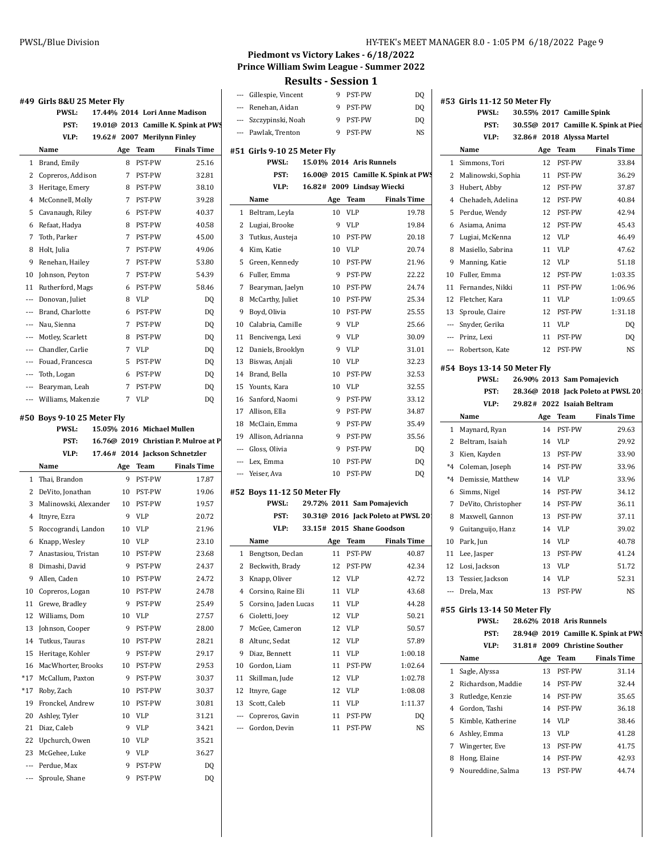|                | #49 Girls 8&U 25 Meter Fly |     |                            |                                      |                         |
|----------------|----------------------------|-----|----------------------------|--------------------------------------|-------------------------|
|                | <b>PWSL:</b>               |     |                            | 17.44% 2014 Lori Anne Madison        |                         |
|                | PST:                       |     |                            | 19.01@ 2013 Camille K. Spink at PW.  | ---                     |
|                | VLP:                       |     |                            | 19.62# 2007 Merilynn Finley          | ---                     |
|                | Name                       | Age | Team                       | <b>Finals Time</b>                   | #51                     |
| 1              | Brand, Emily               | 8   | <b>PST-PW</b>              | 25.16                                |                         |
| 2              | Copreros, Addison          | 7   | <b>PST-PW</b>              | 32.81                                |                         |
| 3              | Heritage, Emery            | 8   | PST-PW                     | 38.10                                |                         |
| $\overline{4}$ | McConnell, Molly           | 7   | <b>PST-PW</b>              | 39.28                                |                         |
| 5              | Cavanaugh, Riley           | 6   | <b>PST-PW</b>              | 40.37                                | 1                       |
| 6              | Refaat, Hadya              | 8   | <b>PST-PW</b>              | 40.58                                | 2                       |
| 7              | Toth, Parker               | 7   | PST-PW                     | 45.00                                | 3                       |
| 8              | Holt, Julia                | 7   | <b>PST-PW</b>              | 49.06                                | 4                       |
| 9              | Renehan, Hailey            | 7   | PST-PW                     | 53.80                                | 5                       |
| 10             | Johnson, Peyton            | 7   | PST-PW                     | 54.39                                | 6                       |
| 11             | Rutherford, Mags           | 6   | PST-PW                     | 58.46                                | 7                       |
| $---$          | Donovan, Juliet            | 8   | <b>VLP</b>                 | DQ                                   | 8                       |
| ---            | Brand, Charlotte           | 6   | <b>PST-PW</b>              | DQ                                   | 9                       |
| ---            | Nau, Sienna                | 7   | <b>PST-PW</b>              | DQ                                   | 10                      |
| $\overline{a}$ | Motley, Scarlett           | 8   | <b>PST-PW</b>              | DQ                                   | 11                      |
| ---            | Chandler, Carlie           | 7   | <b>VLP</b>                 | DQ                                   | 12                      |
| $\overline{a}$ | Fouad. Francesca           | 5   | <b>PST-PW</b>              | DQ                                   | 13                      |
| $---$          | Toth, Logan                | 6   | PST-PW                     | DQ                                   | 14                      |
|                | --- Bearyman, Leah         | 7   | PST-PW                     | DQ                                   | 15                      |
| $---$          | Williams, Makenzie         | 7   | <b>VLP</b>                 | DQ                                   | 16                      |
|                | #50 Boys 9-10 25 Meter Fly |     |                            |                                      | 17                      |
|                | <b>PWSL:</b>               |     | 15.05% 2016 Michael Mullen |                                      | 18                      |
|                | PST:                       |     |                            | 16.76@ 2019 Christian P. Mulroe at P | 19                      |
|                | VLP:                       |     |                            | 17.46# 2014 Jackson Schnetzler       |                         |
|                | Name                       | Age | Team                       | <b>Finals Time</b>                   |                         |
| 1              | Thai, Brandon              | 9   | <b>PST-PW</b>              | 17.87                                | ---                     |
| 2              | DeVito, Jonathan           | 10  | PST-PW                     | 19.06                                | #52                     |
| 3              | Malinowski, Alexander      | 10  | PST-PW                     | 19.57                                |                         |
| 4              | Itnyre, Ezra               | 9   | <b>VLP</b>                 | 20.72                                |                         |
| 5              | Roccograndi, Landon        | 10  | <b>VLP</b>                 | 21.96                                |                         |
| 6              | Knapp, Wesley              | 10  | VLP                        | 23.10                                |                         |
| 7              | Anastasiou, Tristan        | 10  | PST-PW                     | 23.68                                | 1                       |
| 8              | Dimashi, David             | 9   | PST-PW                     | 24.37                                | $\overline{\mathbf{c}}$ |
| 9              | Allen, Caden               | 10  | PST-PW                     | 24.72                                | 3                       |
| 10             | Copreros, Logan            | 10  | PST-PW                     | 24.78                                | 4                       |
| 11             | Grewe, Bradley             | 9   | PST-PW                     | 25.49                                | 5                       |
| 12             | Williams, Dom              | 10  | VLP                        | 27.57                                | 6                       |
| 13             | Johnson, Cooper            | 9   | PST-PW                     | 28.00                                | 7                       |
| 14             | Tutkus, Tauras             | 10  | PST-PW                     | 28.21                                | 8                       |
| 15             | Heritage, Kohler           | 9   | PST-PW                     | 29.17                                | 9                       |
| 16             | MacWhorter, Brooks         | 10  | PST-PW                     | 29.53                                | 10                      |
| *17            | McCallum, Paxton           | 9   | PST-PW                     | 30.37                                | 11                      |
| $*17$          | Roby, Zach                 | 10  | PST-PW                     | 30.37                                | 12                      |

19 Fronckel, Andrew 10 PST-PW 30.81 20 Ashley, Tyler 10 VLP 31.21 21 Diaz, Caleb 9 VLP 34.21 22 Upchurch, Owen 10 VLP 35.21 23 McGehee, Luke 9 VLP 36.27 --- Perdue, Max 9 PST-PW DQ --- Sproule, Shane 9 PST-PW DQ

## **Piedmont vs Victory Lakes - 6/18/2022 Prince William Swim League - Summer 2022**

|                |                             |     | Results - Session 1      |                                     |                          |
|----------------|-----------------------------|-----|--------------------------|-------------------------------------|--------------------------|
|                | --- Gillespie, Vincent      | 9   | PST-PW                   | DQ                                  | #53                      |
|                | --- Renehan, Aidan          |     | 9 PST-PW                 | DQ                                  |                          |
|                | --- Szczypinski, Noah       |     | 9 PST-PW                 | DQ                                  |                          |
| $\overline{a}$ | Pawlak, Trenton             | 9   | PST-PW                   | NS.                                 |                          |
|                | #51 Girls 9-10 25 Meter Fly |     |                          |                                     |                          |
|                | <b>PWSL:</b>                |     | 15.01% 2014 Aris Runnels |                                     | 1                        |
|                | PST:                        |     |                          | 16.00@ 2015 Camille K. Spink at PWS | 2                        |
|                | VLP:                        |     |                          | 16.82# 2009 Lindsay Wiecki          | 3                        |
|                | Name                        | Age | Team                     | <b>Finals Time</b>                  | 4                        |
| 1              | Beltram, Leyla              | 10  | <b>VLP</b>               | 19.78                               | 5                        |
| 2              | Lugiai, Brooke              | 9   | <b>VLP</b>               | 19.84                               | 6                        |
| 3              | Tutkus, Austeja             | 10  | PST-PW                   | 20.18                               | 7                        |
| 4              | Kim, Katie                  | 10  | VLP                      | 20.74                               | 8                        |
| 5              | Green, Kennedy              | 10  | PST-PW                   | 21.96                               | 9                        |
| 6              | Fuller, Emma                | 9   | PST-PW                   | 22.22                               | 10                       |
| 7              | Bearyman, Jaelyn            | 10  | PST-PW                   | 24.74                               | 11                       |
| 8              | McCarthy, Juliet            | 10  | PST-PW                   | 25.34                               | 12                       |
| 9              | Boyd, Olivia                | 10  | PST-PW                   | 25.55                               | 13                       |
| 10             | Calabria, Camille           | 9   | <b>VLP</b>               | 25.66                               |                          |
| 11             | Bencivenga, Lexi            | 9   | <b>VLP</b>               | 30.09                               | $\overline{\phantom{a}}$ |
| 12             | Daniels, Brooklyn           | 9   | <b>VLP</b>               | 31.01                               | ---                      |
| 13             | Biswas, Anjali              | 10  | <b>VLP</b>               | 32.23                               |                          |
| 14             | Brand, Bella                | 10  | PST-PW                   | 32.53                               | #54                      |
| 15             | Younts, Kara                | 10  | <b>VLP</b>               | 32.55                               |                          |
| 16             | Sanford, Naomi              | 9   | PST-PW                   | 33.12                               |                          |
| 17             | Allison, Ella               | 9   | PST-PW                   | 34.87                               |                          |
| 18             | McClain, Emma               | 9   | PST-PW                   | 35.49                               |                          |
| 19             | Allison, Adrianna           | 9   | PST-PW                   | 35.56                               | $\mathbf{1}$             |
| ---            | Gloss, Olivia               | 9   | PST-PW                   | DQ                                  | 2                        |
| ---            | Lex, Emma                   | 10  | PST-PW                   | DQ                                  | 3                        |
| ---            | Yeiser, Ava                 | 10  | PST-PW                   | DQ                                  | $^*4$                    |
|                |                             |     |                          |                                     | *4                       |
|                | #52 Boys 11-12 50 Meter Fly |     |                          |                                     | 6                        |
|                | PWSL:                       |     |                          | 29.72% 2011 Sam Pomajevich          | 7                        |
|                | PST:                        |     |                          | 30.31@ 2016 Jack Poleto at PWSL 201 | 8                        |
|                | VLP:                        |     |                          | 33.15# 2015 Shane Goodson           | 9                        |
|                | Name                        | Age | <b>Team</b>              | <b>Finals Time</b>                  | 10                       |
| 1              | Bengtson, Declan            | 11  | PST-PW                   | 40.87                               | 11                       |
| 2              | Beckwith, Brady             |     | 12 PST-PW                | 42.34                               | 12                       |
| 3              | Knapp, Oliver               | 12  | VLP                      | 42.72                               | 13                       |
| $\overline{4}$ | Corsino, Raine Eli          | 11  | VLP                      | 43.68                               | $\overline{\phantom{a}}$ |
| 5              | Corsino, Jaden Lucas        | 11  | VLP                      | 44.28                               | #55                      |
| 6              | Cioletti, Joey              | 12  | VLP                      | 50.21                               |                          |
| 7              | McGee, Cameron              | 12  | VLP                      | 50.57                               |                          |
| 8              | Altunc, Sedat               | 12  | VLP                      | 57.89                               |                          |
| 9              | Diaz, Bennett               | 11  | VLP                      | 1:00.18                             |                          |
| 10             | Gordon, Liam                | 11  | PST-PW                   | 1:02.64                             | 1                        |
| 11             | Skillman, Jude              | 12  | VLP                      | 1:02.78                             | 2                        |
| 12             | Itnyre, Gage                | 12  | VLP                      | 1:08.08                             | 3                        |
| 13             | Scott, Caleb                | 11  | VLP                      | 1:11.37                             | 4                        |
| ---            | Copreros, Gavin             | 11  | PST-PW                   | DQ                                  | 5                        |
| ---            | Gordon, Devin               | 11  | PST-PW                   | NS                                  | 6                        |
|                |                             |     |                          |                                     | 7                        |
|                |                             |     |                          |                                     | 8                        |
|                |                             |     |                          |                                     | q                        |

|                | #53 Girls 11-12 50 Meter Fly  |          |                           |                                              |
|----------------|-------------------------------|----------|---------------------------|----------------------------------------------|
|                | <b>PWSL:</b>                  |          | 30.55% 2017 Camille Spink |                                              |
|                | PST:                          |          |                           | 30.55@ 2017 Camille K. Spink at Pied         |
|                | VLP:                          |          | 32.86# 2018 Alyssa Martel |                                              |
|                | Name                          | Age      | Team                      | <b>Finals Time</b>                           |
| $\mathbf{1}$   | Simmons, Tori                 | 12       | PST-PW                    | 33.84                                        |
| 2              | Malinowski, Sophia            | 11       | PST-PW                    | 36.29                                        |
| 3              | Hubert, Abby                  |          | 12 PST-PW                 | 37.87                                        |
|                | 4 Chehadeh, Adelina           |          | 12 PST-PW                 | 40.84                                        |
| 5              | Perdue, Wendy                 | 12       | PST-PW                    | 42.94                                        |
| 6              | Asiama, Anima                 | 12       | PST-PW                    | 45.43                                        |
| 7              | Lugiai, McKenna               | 12       | VLP                       | 46.49                                        |
| 8              | Masiello, Sabrina             | 11       | VLP                       | 47.62                                        |
| 9              | Manning, Katie                | 12       | VLP                       | 51.18                                        |
| 10             | Fuller, Emma                  | 12       | PST-PW                    | 1:03.35                                      |
| 11             | Fernandes, Nikki              | 11       | PST-PW                    | 1:06.96                                      |
| 12             | Fletcher, Kara                | 11       | <b>VLP</b>                | 1:09.65                                      |
|                | 13 Sproule, Claire            | 12       | PST-PW                    | 1:31.18                                      |
|                | --- Snyder, Gerika            | 11       | <b>VLP</b>                | DQ                                           |
|                | --- Prinz, Lexi               |          | 11 PST-PW                 | DQ                                           |
|                | --- Robertson, Kate           |          | 12 PST-PW                 | NS                                           |
|                | #54 Boys 13-14 50 Meter Fly   |          |                           |                                              |
|                | PWSL:                         |          |                           | 26.90% 2013 Sam Pomajevich                   |
|                | PST:                          |          |                           | 28.36@ 2018 Jack Poleto at PWSL 201          |
|                | VLP:                          |          |                           | 29.82# 2022 Isaiah Beltram                   |
|                | Name                          |          | Age Team                  | <b>Finals Time</b>                           |
| 1              | Maynard, Ryan                 | 14       | PST-PW                    | 29.63                                        |
| $\overline{2}$ | Beltram, Isaiah               | 14       | VLP                       | 29.92                                        |
| 3              | Kien, Kayden                  | 13       | PST-PW                    | 33.90                                        |
| *4             | Coleman, Joseph               | 14       | PST-PW                    | 33.96                                        |
| *4             | Demissie, Matthew             | 14       | VLP                       | 33.96                                        |
|                |                               |          |                           |                                              |
| 6              |                               | 14       | PST-PW                    | 34.12                                        |
| 7              | Simms, Nigel                  | 14       |                           | 36.11                                        |
|                | DeVito, Christopher           |          | PST-PW<br>PST-PW          |                                              |
| 8<br>9         | Maxwell, Gannon               | 13<br>14 | <b>VLP</b>                | 37.11                                        |
| 10             | Guitanguijo, Hanz             |          |                           | 39.02                                        |
|                | Park, Jun                     | 14       | VLP                       | 40.78<br>41.24                               |
| 11             | Lee, Jasper                   | 13       | PST-PW                    |                                              |
| 12             | Losi, Jackson                 | 13       | <b>VLP</b>                | 51.72                                        |
|                | 13 Tessier, Jackson           |          | 14 VLP                    | 52.31                                        |
|                | --- Drela, Max                | 13       | PST-PW                    | NS                                           |
|                | #55  Girls 13-14 50 Meter Fly |          |                           |                                              |
|                | PWSL:                         |          | 28.62% 2018 Aris Runnels  |                                              |
|                | PST:                          |          |                           |                                              |
|                | VLP:                          |          |                           | 31.81# 2009 Christine Souther                |
|                | Name                          | Age      | Team                      | <b>Finals Time</b>                           |
| 1              | Sagle, Alyssa                 | 13       | PST-PW                    | 31.14                                        |
| 2              | Richardson, Maddie            | 14       | PST-PW                    | 32.44                                        |
| 3              | Rutledge, Kenzie              | 14       | PST-PW                    | 35.65                                        |
| 4              | Gordon, Tashi                 | 14       | PST-PW                    | 36.18                                        |
| 5              | Kimble, Katherine             | 14       | VLP                       | 38.46                                        |
| 6              | Ashley, Emma                  | 13       | VLP                       | 41.28                                        |
| 7              | Wingerter, Eve                | 13       | PST-PW                    | 41.75                                        |
| 8              | Hong, Elaine                  | 14       | PST-PW                    | 28.94@ 2019 Camille K. Spink at PWS<br>42.93 |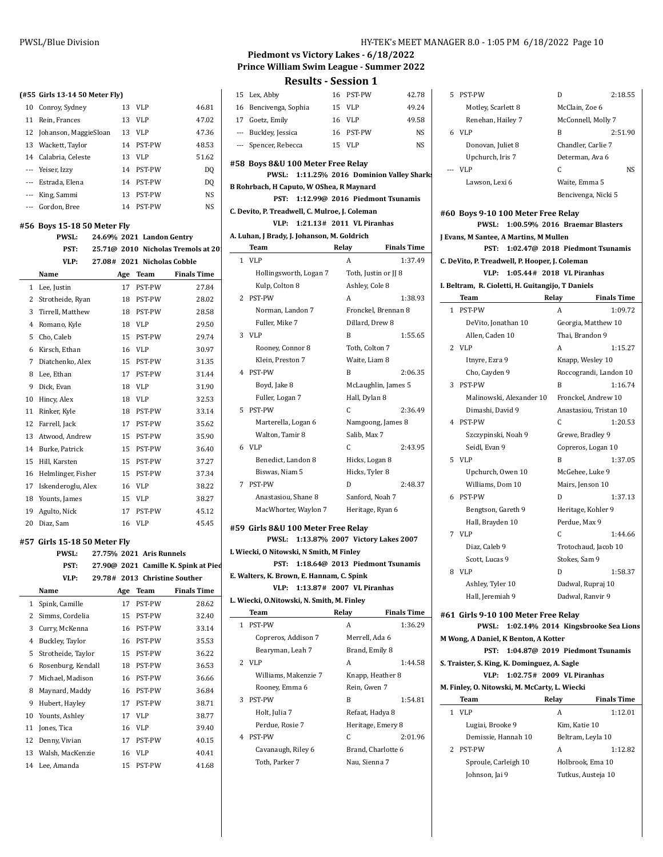|        | (#55 Girls 13-14 50 Meter Fly)              |     |                           |                                                     | 15     |
|--------|---------------------------------------------|-----|---------------------------|-----------------------------------------------------|--------|
|        | 10 Conroy, Sydney                           | 13  | VLP                       | 46.81                                               | 16     |
|        | 11 Rein, Frances                            | 13  | <b>VLP</b>                | 47.02                                               | 17     |
| 12     | Johanson, MaggieSloan                       | 13  | <b>VLP</b>                | 47.36                                               | ---    |
| 13     | Wackett, Taylor                             | 14  | PST-PW                    | 48.53                                               | $---$  |
|        | 14 Calabria, Celeste                        | 13  | <b>VLP</b>                | 51.62                                               |        |
|        | --- Yeiser, Izzy                            | 14  | PST-PW                    | DQ                                                  | #58 1  |
|        | --- Estrada, Elena                          | 14  | PST-PW                    | DQ                                                  | B Roh  |
|        | --- King, Sammi                             | 13  | PST-PW                    | NS                                                  |        |
|        | --- Gordon, Bree                            | 14  | PST-PW                    | NS                                                  | C. Dev |
|        |                                             |     |                           |                                                     |        |
|        | #56 Boys 15-18 50 Meter Fly<br><b>PWSL:</b> |     | 24.69% 2021 Landon Gentry |                                                     | A. Luh |
|        | PST:                                        |     |                           | 25.71@ 2010 Nicholas Tremols at 20                  |        |
|        | VLP:                                        |     |                           | 27.08# 2021 Nicholas Cobble                         | 1      |
|        | Name                                        |     | Age Team                  | <b>Finals Time</b>                                  |        |
| 1      | Lee, Justin                                 | 17  | PST-PW                    | 27.84                                               |        |
|        | 2 Strotheide, Ryan                          | 18  | PST-PW                    | 28.02                                               | 2      |
|        | 3 Tirrell, Matthew                          | 18  | PST-PW                    | 28.58                                               |        |
|        | 4 Romano, Kyle                              | 18  | VLP                       | 29.50                                               |        |
|        | 5 Cho, Caleb                                | 15  | PST-PW                    | 29.74                                               | 3      |
|        | 6 Kirsch, Ethan                             | 16  | <b>VLP</b>                | 30.97                                               |        |
|        | 7 Diatchenko, Alex                          | 15  | PST-PW                    | 31.35                                               |        |
| 8      | Lee, Ethan                                  | 17  | PST-PW                    | 31.44                                               | 4      |
| 9      | Dick, Evan                                  | 18  | <b>VLP</b>                | 31.90                                               |        |
| 10     | Hincy, Alex                                 | 18  | <b>VLP</b>                | 32.53                                               |        |
| 11     | Rinker, Kyle                                | 18  | PST-PW                    | 33.14                                               | 5      |
| 12     | Farrell, Jack                               | 17  | PST-PW                    | 35.62                                               |        |
| 13     | Atwood, Andrew                              | 15  | PST-PW                    | 35.90                                               |        |
| 14     | Burke, Patrick                              | 15  | PST-PW                    | 36.40                                               | 6      |
| 15     | Hill, Karsten                               | 15  | PST-PW                    | 37.27                                               |        |
|        | 16 Helmlinger, Fisher                       | 15  | PST-PW                    | 37.34                                               |        |
|        | 17 Iskenderoglu, Alex                       | 16  | <b>VLP</b>                | 38.22                                               | 7      |
|        | 18 Younts, James                            | 15  | VLP                       | 38.27                                               |        |
| 19     | Agulto, Nick                                | 17  | PST-PW                    | 45.12                                               |        |
| 20     | Diaz, Sam                                   | 16  | <b>VLP</b>                | 45.45                                               |        |
|        |                                             |     |                           |                                                     | #59 (  |
|        | #57 Girls 15-18 50 Meter Fly                |     |                           |                                                     | L Wie  |
|        | <b>PWSL:</b>                                |     | 27.75% 2021 Aris Runnels  |                                                     |        |
|        | PST:                                        |     |                           | 27.90@ 2021 Camille K. Spink at Pied                | E. Wal |
|        | VLP:                                        |     |                           | 29.78# 2013 Christine Souther<br><b>Finals Time</b> |        |
|        | Name                                        | Age | Team                      |                                                     | L. Wie |
| 1      | Spink, Camille                              | 17  | PST-PW                    | 28.62                                               |        |
| 2<br>3 | Simms, Cordelia                             | 15  | PST-PW                    | 32.40                                               | 1      |
|        | Curry, McKenna                              | 16  | PST-PW                    | 33.14                                               |        |
| 4      | Buckley, Taylor                             | 16  | PST-PW                    | 35.53                                               |        |
| 5      | Strotheide, Taylor                          | 15  | PST-PW                    | 36.22                                               | 2      |
| 6      | Rosenburg, Kendall                          | 18  | PST-PW                    | 36.53                                               |        |
| 7      | Michael, Madison                            | 16  | PST-PW                    | 36.66                                               |        |
| 8      | Maynard, Maddy                              | 16  | PST-PW                    | 36.84                                               |        |

 Hubert, Hayley 17 PST-PW 38.71 Younts, Ashley 17 VLP 38.77 Jones, Tica 16 VLP 39.40 12 Denny, Vivian 17 PST-PW 40.15 13 Walsh, MacKenzie 16 VLP 40.41 Lee, Amanda 15 PST-PW 41.68

## **Piedmont vs Victory Lakes - 6/18/2022 Prince William Swim League - Summer 2022**

|              | rouro                                                                         | <b>JLJJIUII</b>                      |                    |
|--------------|-------------------------------------------------------------------------------|--------------------------------------|--------------------|
|              | 15 Lex, Abby                                                                  | 16 PST-PW                            | 42.78              |
| 16           | Bencivenga, Sophia                                                            | 15<br>VLP                            | 49.24              |
|              | 17 Goetz, Emily                                                               | 16 VLP                               | 49.58              |
|              | --- Buckley, Jessica                                                          | 16 PST-PW                            | <b>NS</b>          |
|              | --- Spencer, Rebecca                                                          | 15 VLP                               | NS                 |
|              |                                                                               |                                      |                    |
|              | #58 Boys 8&U 100 Meter Free Relay                                             |                                      |                    |
|              | <b>PWSL:</b>                                                                  | 1:11.25% 2016 Dominion Valley Sharks |                    |
|              | B Rohrbach, H Caputo, W OShea, R Maynard                                      |                                      |                    |
|              | PST:                                                                          | 1:12.99@ 2016 Piedmont Tsunamis      |                    |
|              | C. Devito, P. Treadwell, C. Mulroe, J. Coleman<br>VLP:                        | $1:21.13#$ 2011 VL Piranhas          |                    |
|              | A. Luhan, J Brady, J. Johanson, M. Goldrich                                   |                                      |                    |
|              | Team                                                                          | Relay                                | <b>Finals Time</b> |
| $\mathbf{1}$ | <b>VLP</b>                                                                    | A                                    | 1:37.49            |
|              |                                                                               | Toth, Justin or JJ 8                 |                    |
|              | Hollingsworth, Logan 7                                                        |                                      |                    |
|              | Kulp, Colton 8                                                                | Ashley, Cole 8                       |                    |
| 2            | PST-PW                                                                        | A                                    | 1:38.93            |
|              | Norman, Landon 7                                                              | Fronckel, Brennan 8                  |                    |
|              | Fuller, Mike 7                                                                | Dillard. Drew 8                      |                    |
| 3            | <b>VLP</b>                                                                    | B                                    | 1:55.65            |
|              | Rooney, Connor 8                                                              | Toth, Colton 7                       |                    |
|              | Klein. Preston 7                                                              | Waite, Liam 8                        |                    |
| 4            | PST-PW                                                                        | B                                    | 2:06.35            |
|              | Boyd, Jake 8                                                                  | McLaughlin, James 5                  |                    |
|              | Fuller, Logan 7                                                               | Hall, Dylan 8                        |                    |
| 5            | PST-PW                                                                        | C                                    | 2:36.49            |
|              | Marterella, Logan 6                                                           | Namgoong, James 8                    |                    |
|              | Walton, Tamir 8                                                               | Salib, Max 7                         |                    |
| 6            | <b>VLP</b>                                                                    | C                                    | 2:43.95            |
|              | Benedict, Landon 8                                                            | Hicks, Logan 8                       |                    |
|              | Biswas, Niam 5                                                                | Hicks, Tyler 8                       |                    |
| 7            | <b>PST-PW</b>                                                                 | D                                    | 2:48.37            |
|              | Anastasiou, Shane 8                                                           | Sanford, Noah 7                      |                    |
|              | MacWhorter, Waylon 7                                                          | Heritage, Ryan 6                     |                    |
|              | #59  Girls 8&U 100 Meter Free Relay<br>PWSL: 1:13.87% 2007 Victory Lakes 2007 |                                      |                    |
|              | L Wiecki, O Nitowski, N Smith, M Finley                                       |                                      |                    |
|              | PST:                                                                          | 1:18.64@ 2013 Piedmont Tsunamis      |                    |
|              | E. Walters, K. Brown, E. Hannam, C. Spink                                     |                                      |                    |
|              | VLP:                                                                          | 1:13.87# 2007 VL Piranhas            |                    |
|              | L. Wiecki, O.Nitowski, N. Smith, M. Finley                                    |                                      |                    |
|              | <b>Team</b>                                                                   | Relay                                | <b>Finals Time</b> |
| 1            | PST-PW                                                                        | A                                    | 1:36.29            |
|              | Copreros, Addison 7                                                           | Merrell, Ada 6                       |                    |
|              | Bearyman, Leah 7                                                              | Brand, Emily 8                       |                    |
| 2            | <b>VLP</b>                                                                    | A                                    | 1:44.58            |
|              | Williams, Makenzie 7                                                          | Knapp, Heather 8                     |                    |
|              | Rooney, Emma 6                                                                | Rein, Gwen 7                         |                    |
| 3            | PST-PW                                                                        | B                                    | 1:54.81            |
|              | Holt, Julia 7                                                                 | Refaat, Hadya 8                      |                    |
|              | Perdue, Rosie 7                                                               | Heritage, Emery 8                    |                    |
| 4            | PST-PW                                                                        | C                                    | 2:01.96            |
|              | Cavanaugh, Riley 6                                                            | Brand, Charlotte 6                   |                    |
|              | Toth, Parker 7                                                                | Nau, Sienna 7                        |                    |
|              |                                                                               |                                      |                    |

|   | 5 PST-PW                                           | D                               | 2:18.55            |  |  |  |
|---|----------------------------------------------------|---------------------------------|--------------------|--|--|--|
|   | Motley, Scarlett 8                                 | McClain, Zoe 6                  |                    |  |  |  |
|   | Renehan, Hailey 7                                  | McConnell, Molly 7              |                    |  |  |  |
|   | 6 VLP                                              | B                               | 2:51.90            |  |  |  |
|   | Donovan, Juliet 8                                  | Chandler, Carlie 7              |                    |  |  |  |
|   | Upchurch, Iris 7                                   | Determan, Ava 6                 |                    |  |  |  |
|   | --- VLP                                            | C                               | NS.                |  |  |  |
|   | Lawson, Lexi 6                                     | Waite, Emma 5                   |                    |  |  |  |
|   |                                                    | Bencivenga, Nicki 5             |                    |  |  |  |
|   |                                                    |                                 |                    |  |  |  |
|   | #60 Boys 9-10 100 Meter Free Relay<br><b>PWSL:</b> | 1:00.59% 2016 Braemar Blasters  |                    |  |  |  |
|   | J Evans, M Santee, A Martins, M Mullen             |                                 |                    |  |  |  |
|   | PST:                                               | 1:02.47@ 2018 Piedmont Tsunamis |                    |  |  |  |
|   | C. DeVito, P. Treadwell, P. Hooper, J. Coleman     |                                 |                    |  |  |  |
|   | VLP:                                               | 1:05.44# 2018 VL Piranhas       |                    |  |  |  |
|   | I. Beltram, R. Cioletti, H. Guitangijo, T Daniels  |                                 |                    |  |  |  |
|   | Team                                               | Relay                           | <b>Finals Time</b> |  |  |  |
|   | 1 PST-PW                                           | A                               | 1:09.72            |  |  |  |
|   | DeVito, Jonathan 10                                | Georgia, Matthew 10             |                    |  |  |  |
|   | Allen, Caden 10                                    | Thai, Brandon 9                 |                    |  |  |  |
|   | 2 VLP                                              | A                               | 1:15.27            |  |  |  |
|   | Itnyre, Ezra 9                                     | Knapp, Wesley 10                |                    |  |  |  |
|   | Cho, Cayden 9                                      | Roccograndi, Landon 10          |                    |  |  |  |
| 3 | PST-PW                                             | B                               | 1:16.74            |  |  |  |
|   | Malinowski, Alexander 10                           | Fronckel, Andrew 10             |                    |  |  |  |
|   | Dimashi, David 9                                   | Anastasiou, Tristan 10          |                    |  |  |  |
| 4 | <b>PST-PW</b>                                      | C                               | 1:20.53            |  |  |  |
|   | Szczypinski, Noah 9                                | Grewe, Bradley 9                |                    |  |  |  |
|   | Seidl. Evan 9                                      | Copreros, Logan 10              |                    |  |  |  |
| 5 | <b>VLP</b>                                         | B                               | 1:37.05            |  |  |  |
|   | Upchurch, Owen 10                                  | McGehee, Luke 9                 |                    |  |  |  |
|   | Williams, Dom 10                                   | Mairs, Jenson 10                |                    |  |  |  |
| 6 | PST-PW                                             | D                               | 1:37.13            |  |  |  |
|   | Bengtson, Gareth 9                                 | Heritage, Kohler 9              |                    |  |  |  |
|   | Hall, Brayden 10                                   | Perdue, Max 9                   |                    |  |  |  |
| 7 | <b>VLP</b>                                         | C                               | 1:44.66            |  |  |  |
|   | Diaz, Caleb 9                                      | Trotochaud, Jacob 10            |                    |  |  |  |

| Diaz. Gaico 7    | Trotochaud, jacob To |         |
|------------------|----------------------|---------|
| Scott, Lucas 9   | Stokes, Sam 9        |         |
| VLP              | D                    | 1:58.37 |
| Ashley, Tyler 10 | Dadwal, Rupraj 10    |         |
| Hall, Jeremiah 9 | Dadwal, Ranvir 9     |         |
|                  |                      |         |

|                                              | #61 Girls 9-10 100 Meter Free Relay           |                               |       |                    |                                           |
|----------------------------------------------|-----------------------------------------------|-------------------------------|-------|--------------------|-------------------------------------------|
|                                              |                                               |                               |       |                    | PWSL: 1:02.14% 2014 Kingsbrooke Sea Lions |
| M Wong, A Daniel, K Benton, A Kotter         |                                               |                               |       |                    |                                           |
|                                              |                                               |                               |       |                    | PST: 1:04.87@ 2019 Piedmont Tsunamis      |
| S. Traister, S. King, K. Dominguez, A. Sagle |                                               |                               |       |                    |                                           |
|                                              |                                               | VLP: 1:02.75# 2009 VLPiranhas |       |                    |                                           |
|                                              | M. Finley, O. Nitowski, M. McCarty, L. Wiecki |                               |       |                    |                                           |
|                                              | Team                                          |                               | Relay |                    | <b>Finals Time</b>                        |
|                                              | 1 VLP                                         |                               | A     |                    | 1:12.01                                   |
|                                              | Lugiai, Brooke 9                              |                               |       | Kim. Katie 10      |                                           |
|                                              | Demissie, Hannah 10                           |                               |       | Beltram, Leyla 10  |                                           |
|                                              | 2 PST-PW                                      |                               | A     |                    | 1:12.82                                   |
|                                              | Sproule, Carleigh 10                          |                               |       | Holbrook, Ema 10   |                                           |
|                                              | Johnson, Jai 9                                |                               |       | Tutkus, Austeja 10 |                                           |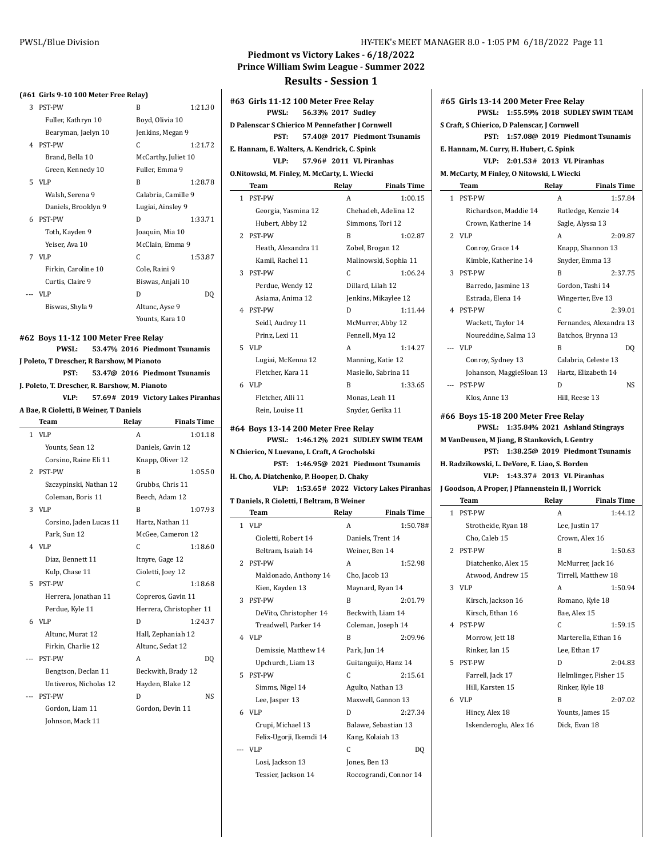#### **(#61 Girls 9-10 100 Meter Free Relay)**

| 3 | <b>PST-PW</b>       | R                   | 1:21.30 |
|---|---------------------|---------------------|---------|
|   | Fuller, Kathryn 10  | Boyd, Olivia 10     |         |
|   | Bearyman, Jaelyn 10 | Jenkins, Megan 9    |         |
| 4 | <b>PST-PW</b>       | C                   | 1:21.72 |
|   | Brand, Bella 10     | McCarthy, Juliet 10 |         |
|   | Green, Kennedy 10   | Fuller, Emma 9      |         |
|   | 5 VLP               | R                   | 1:28.78 |
|   | Walsh, Serena 9     | Calabria, Camille 9 |         |
|   | Daniels, Brooklyn 9 | Lugiai, Ainsley 9   |         |
|   | 6 PST-PW            | D                   | 1:33.71 |
|   | Toth, Kayden 9      | Joaquin, Mia 10     |         |
|   | Yeiser, Ava 10      | McClain, Emma 9     |         |
|   | 7 VLP               | C                   | 1:53.87 |
|   | Firkin, Caroline 10 | Cole, Raini 9       |         |
|   | Curtis, Claire 9    | Biswas, Anjali 10   |         |
|   | VLP                 | D                   | DO      |
|   | Biswas, Shyla 9     | Altunc, Ayse 9      |         |
|   |                     | Younts, Kara 10     |         |

**#62 Boys 11-12 100 Meter Free Relay PWSL: 53.47% 2016 Piedmont Tsunamis J Poleto, T Drescher, R Barshow, M Pianoto PST: 53.47@ 2016 Piedmont Tsunamis J. Poleto, T. Drescher, R. Barshow, M. Pianoto VLP: 57.69# 2019 Victory Lakes Piranhas A Bae, R Cioletti, B Weiner, T Daniels Team Relay Finals Time** 1 VLP A 1:01.18 Younts, Sean 12 Daniels, Gavin 12 Corsino, Raine Eli 11 Knapp, Oliver 12 2 PST-PW B 1:05.50 Szczypinski, Nathan 12 Grubbs, Chris 11 Coleman, Boris 11 Beech, Adam 12 3 VLP B 1:07.93 Corsino, Jaden Lucas 11 Hartz, Nathan 11 Park, Sun 12 McGee, Cameron 12 4 VLP C 1:18.60 Diaz, Bennett 11 Itnyre, Gage 12 Kulp, Chase 11 Cioletti, Joey 12 5 PST-PW C 1:18.68 Herrera, Jonathan 11 Copreros, Gavin 11 Perdue, Kyle 11 Herrera, Christopher 11 6 VLP D 1:24.37 Altunc, Murat 12 Hall, Zephaniah 12 Firkin, Charlie 12 Altunc, Sedat 12 --- PST-PW A DQ Bengtson, Declan 11 Beckwith, Brady 12 Untiveros, Nicholas 12 Hayden, Blake 12 --- PST-PW D NS Gordon, Liam 11 Gordon, Devin 11 Johnson, Mack 11

# **Piedmont vs Victory Lakes - 6/18/2022 Prince William Swim League - Summer 2022 Results - Session 1**

**#63 Girls 11-12 100 Meter Free Relay PWSL: 56.33% 2017 Sudley D Palenscar S Chierico M Pennefather J Cornwell PST: 57.40@ 2017 Piedmont Tsunamis E. Hannam, E. Walters, A. Kendrick, C. Spink VLP: 57.96# 2011 VL Piranhas O.Nitowski, M. Finley, M. McCarty, L. Wiecki Team Relay Finals Time** 1 PST-PW A 1:00.15 Georgia, Yasmina 12 Chehadeh, Adelina 12 Hubert, Abby 12 Simmons, Tori 12 2 PST-PW B 1:02.87 Heath, Alexandra 11 Zobel, Brogan 12 Kamil, Rachel 11 Malinowski, Sophia 11 3 PST-PW C 1:06.24 Perdue, Wendy 12 Dillard, Lilah 12 Asiama, Anima 12 Jenkins, Mikaylee 12 4 PST-PW D 1:11.44 Seidl, Audrey 11 McMurrer, Abby 12 Prinz, Lexi 11 Fennell, Mya 12 5 VLP A 1:14.27 Lugiai, McKenna 12 Manning, Katie 12 Fletcher, Kara 11 Masiello, Sabrina 11 6 VLP B 1:33.65 Fletcher, Alli 11 Monas, Leah 11 Rein, Louise 11 Snyder, Gerika 11

**#64 Boys 13-14 200 Meter Free Relay PWSL: 1:46.12% 2021 SUDLEY SWIM TEAM N Chierico, N Luevano, L Craft, A Grocholski PST: 1:46.95@ 2021 Piedmont Tsunamis H. Cho, A. Diatchenko, P. Hooper, D. Chaky VLP:** 1:53.65# 2022 Victory Lakes Piranhas **T Daniels, R Cioletti, I Beltram, B Weiner Team Relay Finals Time** 1 VLP A 1:50.78#

|                | VLF                     | A                      | 1.JU. / 0 |
|----------------|-------------------------|------------------------|-----------|
|                | Cioletti, Robert 14     | Daniels, Trent 14      |           |
|                | Beltram, Isaiah 14      | Weiner, Ben 14         |           |
| $\overline{2}$ | PST-PW                  | A                      | 1:52.98   |
|                | Maldonado, Anthony 14   | Cho, Jacob 13          |           |
|                | Kien, Kayden 13         | Maynard, Ryan 14       |           |
| 3              | <b>PST-PW</b>           | B                      | 2:01.79   |
|                | DeVito, Christopher 14  | Beckwith, Liam 14      |           |
|                | Treadwell, Parker 14    | Coleman, Joseph 14     |           |
|                | 4 VLP                   | B                      | 2:09.96   |
|                | Demissie, Matthew 14    | Park, Jun 14           |           |
|                | Upchurch, Liam 13       | Guitanguijo, Hanz 14   |           |
| 5              | PST-PW                  | C                      | 2:15.61   |
|                | Simms, Nigel 14         | Agulto, Nathan 13      |           |
|                | Lee, Jasper 13          | Maxwell, Gannon 13     |           |
|                | 6 VLP                   | D                      | 2:27.34   |
|                | Crupi, Michael 13       | Balawe, Sebastian 13   |           |
|                | Felix-Ugorji, Ikemdi 14 | Kang, Kolaiah 13       |           |
| ---            | VLP                     | C                      | DQ        |
|                | Losi, Jackson 13        | Jones, Ben 13          |           |
|                | Tessier, Jackson 14     | Roccograndi, Connor 14 |           |

|                                              | #65 Girls 13-14 200 Meter Free Relay |  |  |                                      |  |
|----------------------------------------------|--------------------------------------|--|--|--------------------------------------|--|
|                                              |                                      |  |  | PWSL: 1:55.59% 2018 SUDLEY SWIM TEAM |  |
| S Craft, S Chierico, D Palenscar, J Cornwell |                                      |  |  |                                      |  |
|                                              |                                      |  |  | PST: 1:57.08@ 2019 Piedmont Tsunamis |  |
|                                              |                                      |  |  |                                      |  |

**E. Hannam, M. Curry, H. Hubert, C. Spink**

**VLP: 2:01.53# 2013 VL Piranhas M. McCarty, M Finley, O Nitowski, L Wiecki**

| PST-PW<br>Richardson, Maddie 14<br>Crown, Katherine 14<br>2 VLP<br>Conroy, Grace 14<br>Kimble, Katherine 14 | A<br>Sagle, Alyssa 13<br>A | 1:57.84<br>Rutledge, Kenzie 14<br>2:09.87<br>Knapp, Shannon 13                    |
|-------------------------------------------------------------------------------------------------------------|----------------------------|-----------------------------------------------------------------------------------|
|                                                                                                             |                            |                                                                                   |
|                                                                                                             |                            |                                                                                   |
|                                                                                                             |                            |                                                                                   |
|                                                                                                             |                            |                                                                                   |
|                                                                                                             |                            |                                                                                   |
|                                                                                                             |                            | Snyder, Emma 13                                                                   |
| PST-PW                                                                                                      | B                          | 2:37.75                                                                           |
| Barredo, Jasmine 13                                                                                         |                            | Gordon, Tashi 14                                                                  |
| Estrada, Elena 14                                                                                           |                            | Wingerter, Eve 13                                                                 |
| <b>PST-PW</b>                                                                                               | C                          | 2:39.01                                                                           |
| Wackett, Taylor 14                                                                                          |                            | Fernandes, Alexandra 13                                                           |
| Noureddine, Salma 13                                                                                        |                            | Batchos, Brynna 13                                                                |
| --- VLP                                                                                                     | B                          | DO                                                                                |
| Conroy, Sydney 13                                                                                           |                            | Calabria, Celeste 13                                                              |
|                                                                                                             |                            | Hartz, Elizabeth 14                                                               |
| <b>PST-PW</b>                                                                                               | D                          | NS.                                                                               |
| Klos, Anne 13                                                                                               |                            |                                                                                   |
|                                                                                                             |                            | Johanson, MaggieSloan 13<br>Hill, Reese 13<br>#66 Bovs 15-18 200 Meter Free Relav |

**PWSL: 1:35.84% 2021 Ashland Stingrays M VanDeusen, M Jiang, B Stankovich, L Gentry PST: 1:38.25@ 2019 Piedmont Tsunamis H. Radzikowski, L. DeVore, E. Liao, S. Borden**

**VLP: 1:43.37# 2013 VL Piranhas J Goodson, A Proper, J Pfannenstein II, J Worrick**

|    | <b>Team</b>           | Relay           | <b>Finals Time</b>    |  |
|----|-----------------------|-----------------|-----------------------|--|
|    | 1 PST-PW              | A               | 1:44.12               |  |
|    | Strotheide, Ryan 18   | Lee, Justin 17  |                       |  |
|    | Cho, Caleb 15         | Crown, Alex 16  |                       |  |
|    | 2 PST-PW              | B               | 1:50.63               |  |
|    | Diatchenko, Alex 15   |                 | McMurrer, Jack 16     |  |
|    | Atwood, Andrew 15     |                 | Tirrell, Matthew 18   |  |
|    | 3 VLP                 | A               | 1:50.94               |  |
|    | Kirsch, Jackson 16    |                 | Romano, Kyle 18       |  |
|    | Kirsch, Ethan 16      | Bae, Alex 15    |                       |  |
|    | 4 PST-PW              | C               | 1:59.15               |  |
|    | Morrow, Jett 18       |                 | Marterella, Ethan 16  |  |
|    | Rinker, Ian 15        | Lee, Ethan 17   |                       |  |
| 5. | <b>PST-PW</b>         | D               | 2:04.83               |  |
|    | Farrell, Jack 17      |                 | Helmlinger, Fisher 15 |  |
|    | Hill, Karsten 15      | Rinker, Kyle 18 |                       |  |
|    | 6 VLP                 | B               | 2:07.02               |  |
|    | Hincy, Alex 18        |                 | Younts, James 15      |  |
|    | Iskenderoglu, Alex 16 | Dick, Evan 18   |                       |  |
|    |                       |                 |                       |  |